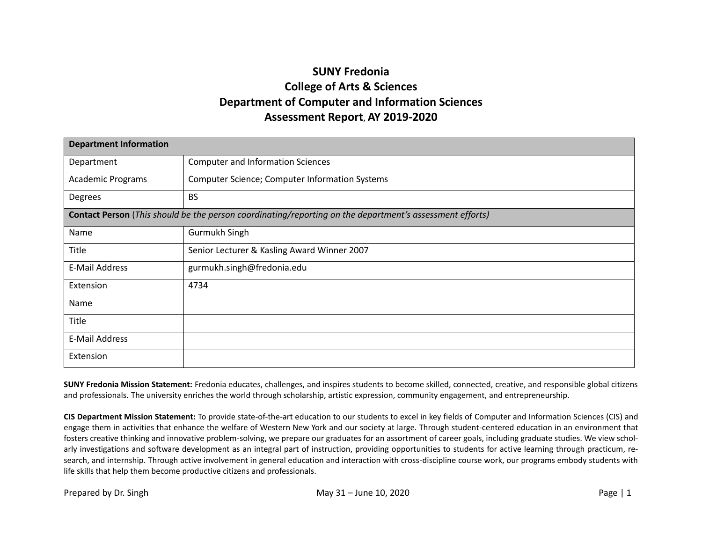## **SUNY Fredonia College of Arts & Sciences Department of Computer and Information Sciences Assessment Report**, **AY 2019-2020**

| <b>Department Information</b> |                                                                                                          |  |  |  |  |  |
|-------------------------------|----------------------------------------------------------------------------------------------------------|--|--|--|--|--|
| Department                    | <b>Computer and Information Sciences</b>                                                                 |  |  |  |  |  |
| <b>Academic Programs</b>      | <b>Computer Science; Computer Information Systems</b>                                                    |  |  |  |  |  |
| Degrees                       | <b>BS</b>                                                                                                |  |  |  |  |  |
|                               | Contact Person (This should be the person coordinating/reporting on the department's assessment efforts) |  |  |  |  |  |
| Name                          | Gurmukh Singh                                                                                            |  |  |  |  |  |
| Title                         | Senior Lecturer & Kasling Award Winner 2007                                                              |  |  |  |  |  |
| E-Mail Address                | gurmukh.singh@fredonia.edu                                                                               |  |  |  |  |  |
| Extension                     | 4734                                                                                                     |  |  |  |  |  |
| Name                          |                                                                                                          |  |  |  |  |  |
| Title                         |                                                                                                          |  |  |  |  |  |
| E-Mail Address                |                                                                                                          |  |  |  |  |  |
| Extension                     |                                                                                                          |  |  |  |  |  |

**SUNY Fredonia Mission Statement:** Fredonia educates, challenges, and inspires students to become skilled, connected, creative, and responsible global citizens and professionals. The university enriches the world through scholarship, artistic expression, community engagement, and entrepreneurship.

**CIS Department Mission Statement:** To provide state-of-the-art education to our students to excel in key fields of Computer and Information Sciences (CIS) and engage them in activities that enhance the welfare of Western New York and our society at large. Through student-centered education in an environment that fosters creative thinking and innovative problem-solving, we prepare our graduates for an assortment of career goals, including graduate studies. We view scholarly investigations and software development as an integral part of instruction, providing opportunities to students for active learning through practicum, research, and internship. Through active involvement in general education and interaction with cross-discipline course work, our programs embody students with life skills that help them become productive citizens and professionals.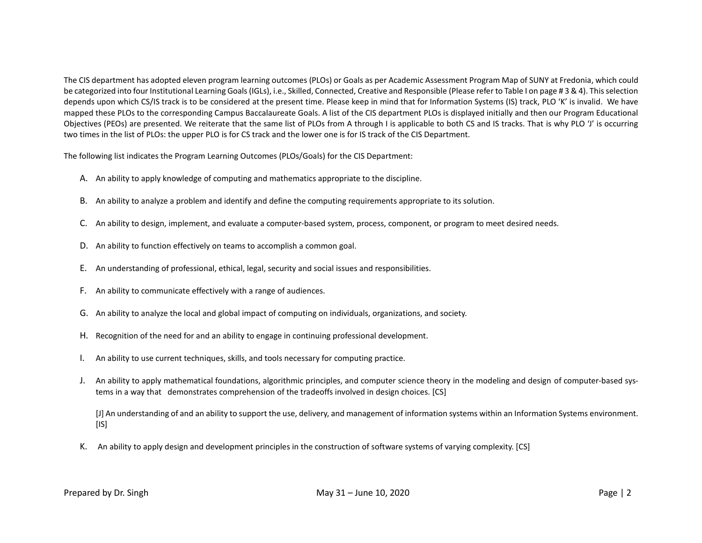The CIS department has adopted eleven program learning outcomes (PLOs) or Goals as per Academic Assessment Program Map of SUNY at Fredonia, which could be categorized into four Institutional Learning Goals (IGLs), i.e., Skilled, Connected, Creative and Responsible (Please refer to Table I on page # 3 & 4). This selection depends upon which CS/IS track is to be considered at the present time. Please keep in mind that for Information Systems (IS) track, PLO 'K' is invalid. We have mapped these PLOs to the corresponding Campus Baccalaureate Goals. A list of the CIS department PLOs is displayed initially and then our Program Educational Objectives (PEOs) are presented. We reiterate that the same list of PLOs from A through I is applicable to both CS and IS tracks. That is why PLO 'J' is occurring two times in the list of PLOs: the upper PLO is for CS track and the lower one is for IS track of the CIS Department.

The following list indicates the Program Learning Outcomes (PLOs/Goals) for the CIS Department:

- A. An ability to apply knowledge of computing and mathematics appropriate to the discipline.
- B. An ability to analyze a problem and identify and define the computing requirements appropriate to its solution.
- C. An ability to design, implement, and evaluate a computer-based system, process, component, or program to meet desired needs.
- D. An ability to function effectively on teams to accomplish a common goal.
- E. An understanding of professional, ethical, legal, security and social issues and responsibilities.
- F. An ability to communicate effectively with a range of audiences.
- G. An ability to analyze the local and global impact of computing on individuals, organizations, and society.
- H. Recognition of the need for and an ability to engage in continuing professional development.
- I. An ability to use current techniques, skills, and tools necessary for computing practice.
- J. An ability to apply mathematical foundations, algorithmic principles, and computer science theory in the modeling and design of computer-based systems in a way that demonstrates comprehension of the tradeoffs involved in design choices. [CS]

[J] An understanding of and an ability to support the use, delivery, and management of information systems within an Information Systems environment.  $[IS]$ 

K. An ability to apply design and development principles in the construction of software systems of varying complexity. [CS]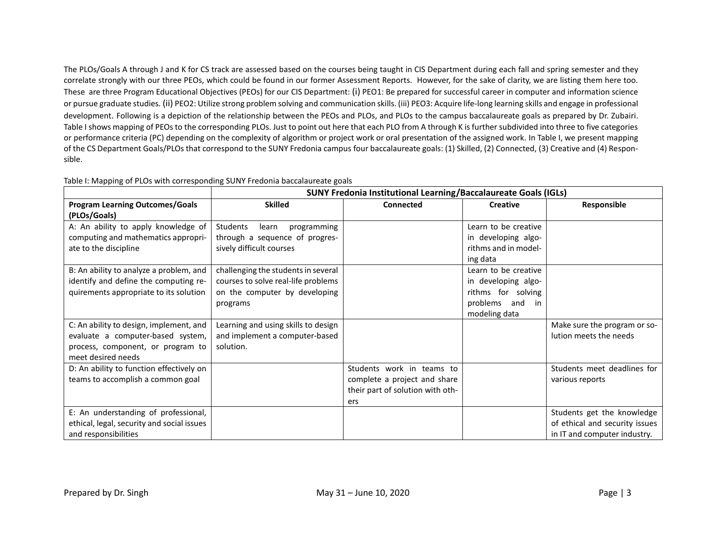The PLOs/Goals A through J and K for CS track are assessed based on the courses being taught in CIS Department during each fall and spring semester and they correlate strongly with our three PEOs, which could be found in our former Assessment Reports. However, for the sake of clarity, we are listing them here too. These are three Program Educational Objectives (PEOs) for our CIS Department: (i) PEO1: Be prepared for successful career in computer and information science or pursue graduate studies. (ii) PEO2: Utilize strong problem solving and communication skills. (iii) PEO3: Acquire life-long learning skills and engage in professional development. Following is a depiction of the relationship between the PEOs and PLOs, and PLOs to the campus baccalaureate goals as prepared by Dr. Zubairi. Table I shows mapping of PEOs to the corresponding PLOs. Just to point out here that each PLO from A through K is further subdivided into three to five categories or performance criteria (PC) depending on the complexity of algorithm or project work or oral presentation of the assigned work. In Table I, we present mapping of the CS Department Goals/PLOs that correspond to the SUNY Fredonia campus four baccalaureate goals: (1) Skilled, (2) Connected, (3) Creative and (4) Responsible.

|                                            | <b>SUNY Fredonia Institutional Learning/Baccalaureate Goals (IGLs)</b> |                                  |                      |                                |  |  |  |  |  |
|--------------------------------------------|------------------------------------------------------------------------|----------------------------------|----------------------|--------------------------------|--|--|--|--|--|
| <b>Program Learning Outcomes/Goals</b>     | <b>Skilled</b>                                                         | <b>Connected</b>                 | <b>Creative</b>      | Responsible                    |  |  |  |  |  |
| (PLOs/Goals)                               |                                                                        |                                  |                      |                                |  |  |  |  |  |
| A: An ability to apply knowledge of        | Students<br>programming<br>learn                                       |                                  | Learn to be creative |                                |  |  |  |  |  |
| computing and mathematics appropri-        | through a sequence of progres-                                         |                                  | in developing algo-  |                                |  |  |  |  |  |
| ate to the discipline                      | sively difficult courses                                               |                                  | rithms and in model- |                                |  |  |  |  |  |
|                                            |                                                                        |                                  | ing data             |                                |  |  |  |  |  |
| B: An ability to analyze a problem, and    | challenging the students in several                                    |                                  | Learn to be creative |                                |  |  |  |  |  |
| identify and define the computing re-      | courses to solve real-life problems                                    |                                  | in developing algo-  |                                |  |  |  |  |  |
| quirements appropriate to its solution     | on the computer by developing                                          |                                  | rithms for solving   |                                |  |  |  |  |  |
|                                            | programs                                                               |                                  | problems and<br>in   |                                |  |  |  |  |  |
|                                            |                                                                        |                                  | modeling data        |                                |  |  |  |  |  |
| C: An ability to design, implement, and    | Learning and using skills to design                                    |                                  |                      | Make sure the program or so-   |  |  |  |  |  |
| evaluate a computer-based system,          | and implement a computer-based                                         |                                  |                      | lution meets the needs         |  |  |  |  |  |
| process, component, or program to          | solution.                                                              |                                  |                      |                                |  |  |  |  |  |
| meet desired needs                         |                                                                        |                                  |                      |                                |  |  |  |  |  |
| D: An ability to function effectively on   |                                                                        | Students work in teams to        |                      | Students meet deadlines for    |  |  |  |  |  |
| teams to accomplish a common goal          |                                                                        | complete a project and share     |                      | various reports                |  |  |  |  |  |
|                                            |                                                                        | their part of solution with oth- |                      |                                |  |  |  |  |  |
|                                            |                                                                        | ers                              |                      |                                |  |  |  |  |  |
| E: An understanding of professional,       |                                                                        |                                  |                      | Students get the knowledge     |  |  |  |  |  |
| ethical, legal, security and social issues |                                                                        |                                  |                      | of ethical and security issues |  |  |  |  |  |
| and responsibilities                       |                                                                        |                                  |                      | in IT and computer industry.   |  |  |  |  |  |

Table I: Mapping of PLOs with corresponding SUNY Fredonia baccalaureate goals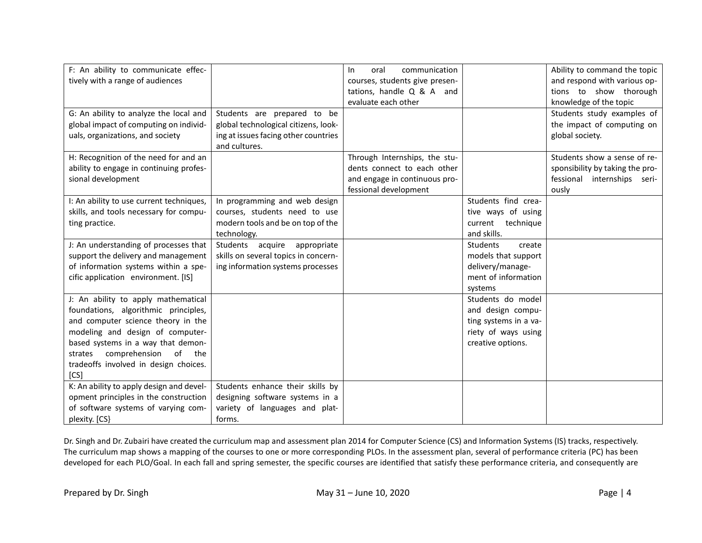| F: An ability to communicate effec-      |                                      | communication<br>oral<br>In.   |                           | Ability to command the topic    |
|------------------------------------------|--------------------------------------|--------------------------------|---------------------------|---------------------------------|
| tively with a range of audiences         |                                      | courses, students give presen- |                           | and respond with various op-    |
|                                          |                                      | tations, handle Q & A and      |                           | tions to show thorough          |
|                                          |                                      | evaluate each other            |                           | knowledge of the topic          |
| G: An ability to analyze the local and   | Students are prepared to be          |                                |                           | Students study examples of      |
| global impact of computing on individ-   | global technological citizens, look- |                                |                           | the impact of computing on      |
| uals, organizations, and society         | ing at issues facing other countries |                                |                           | global society.                 |
|                                          | and cultures.                        |                                |                           |                                 |
| H: Recognition of the need for and an    |                                      | Through Internships, the stu-  |                           | Students show a sense of re-    |
| ability to engage in continuing profes-  |                                      | dents connect to each other    |                           | sponsibility by taking the pro- |
| sional development                       |                                      | and engage in continuous pro-  |                           | fessional internships seri-     |
|                                          |                                      | fessional development          |                           | ously                           |
| I: An ability to use current techniques, | In programming and web design        |                                | Students find crea-       |                                 |
| skills, and tools necessary for compu-   | courses, students need to use        |                                | tive ways of using        |                                 |
| ting practice.                           | modern tools and be on top of the    |                                | current technique         |                                 |
|                                          | technology.                          |                                | and skills.               |                                 |
| J: An understanding of processes that    | Students acquire appropriate         |                                | <b>Students</b><br>create |                                 |
| support the delivery and management      | skills on several topics in concern- |                                | models that support       |                                 |
| of information systems within a spe-     | ing information systems processes    |                                | delivery/manage-          |                                 |
| cific application environment. [IS]      |                                      |                                | ment of information       |                                 |
|                                          |                                      |                                | systems                   |                                 |
| J: An ability to apply mathematical      |                                      |                                | Students do model         |                                 |
| foundations, algorithmic principles,     |                                      |                                | and design compu-         |                                 |
| and computer science theory in the       |                                      |                                | ting systems in a va-     |                                 |
| modeling and design of computer-         |                                      |                                | riety of ways using       |                                 |
| based systems in a way that demon-       |                                      |                                | creative options.         |                                 |
| comprehension of the<br>strates          |                                      |                                |                           |                                 |
| tradeoffs involved in design choices.    |                                      |                                |                           |                                 |
| [CS]                                     |                                      |                                |                           |                                 |
| K: An ability to apply design and devel- | Students enhance their skills by     |                                |                           |                                 |
| opment principles in the construction    | designing software systems in a      |                                |                           |                                 |
| of software systems of varying com-      | variety of languages and plat-       |                                |                           |                                 |
| plexity. [CS}                            | forms.                               |                                |                           |                                 |

Dr. Singh and Dr. Zubairi have created the curriculum map and assessment plan 2014 for Computer Science (CS) and Information Systems (IS) tracks, respectively. The curriculum map shows a mapping of the courses to one or more corresponding PLOs. In the assessment plan, several of performance criteria (PC) has been developed for each PLO/Goal. In each fall and spring semester, the specific courses are identified that satisfy these performance criteria, and consequently are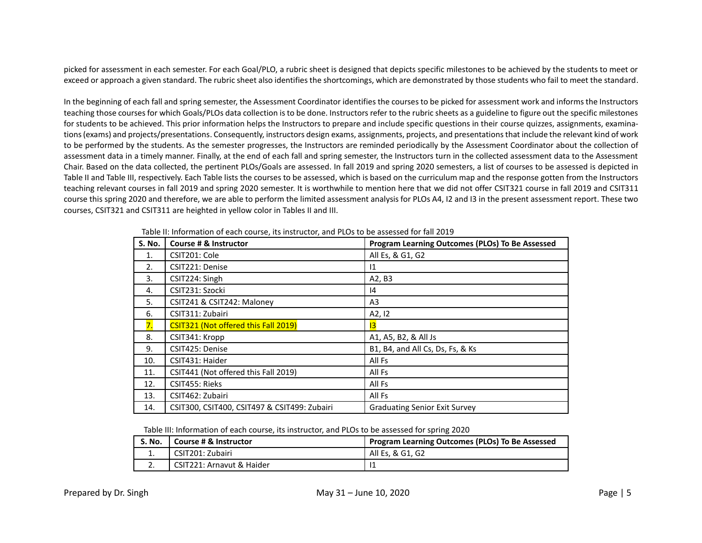picked for assessment in each semester. For each Goal/PLO, a rubric sheet is designed that depicts specific milestones to be achieved by the students to meet or exceed or approach a given standard. The rubric sheet also identifies the shortcomings, which are demonstrated by those students who fail to meet the standard.

In the beginning of each fall and spring semester, the Assessment Coordinator identifies the courses to be picked for assessment work and informs the Instructors teaching those courses for which Goals/PLOs data collection is to be done. Instructors refer to the rubric sheets as a guideline to figure out the specific milestones for students to be achieved. This prior information helps the Instructors to prepare and include specific questions in their course quizzes, assignments, examinations (exams) and projects/presentations. Consequently, instructors design exams, assignments, projects, and presentationsthat include the relevant kind of work to be performed by the students. As the semester progresses, the Instructors are reminded periodically by the Assessment Coordinator about the collection of assessment data in a timely manner. Finally, at the end of each fall and spring semester, the Instructors turn in the collected assessment data to the Assessment Chair. Based on the data collected, the pertinent PLOs/Goals are assessed. In fall 2019 and spring 2020 semesters, a list of courses to be assessed is depicted in Table II and Table III, respectively. Each Table lists the courses to be assessed, which is based on the curriculum map and the response gotten from the Instructors teaching relevant courses in fall 2019 and spring 2020 semester. It is worthwhile to mention here that we did not offer CSIT321 course in fall 2019 and CSIT311 course this spring 2020 and therefore, we are able to perform the limited assessment analysis for PLOs A4, I2 and I3 in the present assessment report. These two courses, CSIT321 and CSIT311 are heighted in yellow color in Tables II and III.

| <b>S. No.</b> | Course # & Instructor                        | Program Learning Outcomes (PLOs) To Be Assessed |
|---------------|----------------------------------------------|-------------------------------------------------|
|               |                                              |                                                 |
| 1.            | CSIT201: Cole                                | All Es, & G1, G2                                |
| 2.            | CSIT221: Denise                              | $\mathsf{I}1$                                   |
| 3.            | CSIT224: Singh                               | A2, B3                                          |
| 4.            | CSIT231: Szocki                              | 14                                              |
| 5.            | CSIT241 & CSIT242: Maloney                   | A3                                              |
| 6.            | CSIT311: Zubairi                             | A2, I2                                          |
| 7.            | CSIT321 (Not offered this Fall 2019)         | 13                                              |
| 8.            | CSIT341: Kropp                               | A1, A5, B2, & All Js                            |
| 9.            | CSIT425: Denise                              | B1, B4, and All Cs, Ds, Fs, & Ks                |
| 10.           | CSIT431: Haider                              | All Fs                                          |
| 11.           | CSIT441 (Not offered this Fall 2019)         | All Fs                                          |
| 12.           | CSIT455: Rieks                               | All Fs                                          |
| 13.           | CSIT462: Zubairi                             | All Fs                                          |
| 14.           | CSIT300, CSIT400, CSIT497 & CSIT499: Zubairi | <b>Graduating Senior Exit Survey</b>            |

Table II: Information of each course, its instructor, and PLOs to be assessed for fall 2019

Table III: Information of each course, its instructor, and PLOs to be assessed for spring 2020

| S. No.   | Course # & Instructor     | Program Learning Outcomes (PLOs) To Be Assessed |
|----------|---------------------------|-------------------------------------------------|
| <b>.</b> | CSIT201: Zubairi          | All Es, & G1, G2                                |
|          | CSIT221: Arnavut & Haider |                                                 |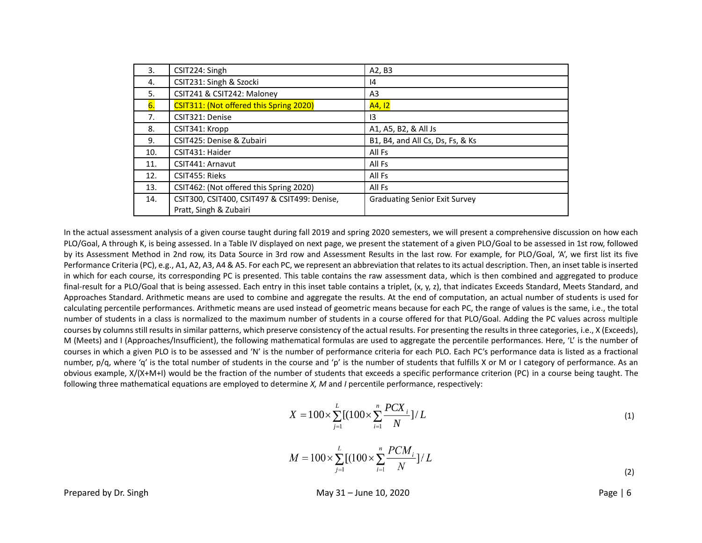| 3.             | CSIT224: Singh                               | A2, B3                               |
|----------------|----------------------------------------------|--------------------------------------|
| 4.             | CSIT231: Singh & Szocki                      | 14                                   |
| 5.             | CSIT241 & CSIT242: Maloney                   | A3                                   |
| 6.             | CSIT311: (Not offered this Spring 2020)      | A4, I2                               |
| 7 <sub>1</sub> | CSIT321: Denise                              | 13                                   |
| 8.             | CSIT341: Kropp                               | A1, A5, B2, & All Js                 |
| 9.             | CSIT425: Denise & Zubairi                    | B1, B4, and All Cs, Ds, Fs, & Ks     |
| 10.            | CSIT431: Haider                              | All Fs                               |
| 11.            | CSIT441: Arnavut                             | All Fs                               |
| 12.            | CSIT455: Rieks                               | All Fs                               |
| 13.            | CSIT462: (Not offered this Spring 2020)      | All Fs                               |
| 14.            | CSIT300, CSIT400, CSIT497 & CSIT499: Denise, | <b>Graduating Senior Exit Survey</b> |
|                | Pratt, Singh & Zubairi                       |                                      |

In the actual assessment analysis of a given course taught during fall 2019 and spring 2020 semesters, we will present a comprehensive discussion on how each PLO/Goal, A through K, is being assessed. In a Table IV displayed on next page, we present the statement of a given PLO/Goal to be assessed in 1st row, followed by its Assessment Method in 2nd row, its Data Source in 3rd row and Assessment Results in the last row. For example, for PLO/Goal, 'A', we first list its five Performance Criteria (PC), e.g., A1, A2, A3, A4 & A5. For each PC, we represent an abbreviation that relates to its actual description. Then, an inset table is inserted in which for each course, its corresponding PC is presented. This table contains the raw assessment data, which is then combined and aggregated to produce final-result for a PLO/Goal that is being assessed. Each entry in this inset table contains a triplet, (x, y, z), that indicates Exceeds Standard, Meets Standard, and Approaches Standard. Arithmetic means are used to combine and aggregate the results. At the end of computation, an actual number of students is used for calculating percentile performances. Arithmetic means are used instead of geometric means because for each PC, the range of values is the same, i.e., the total number of students in a class is normalized to the maximum number of students in a course offered for that PLO/Goal. Adding the PC values across multiple courses by columns still results in similar patterns, which preserve consistency of the actual results. For presenting the results in three categories, i.e., X (Exceeds), M (Meets) and I (Approaches/Insufficient), the following mathematical formulas are used to aggregate the percentile performances. Here, 'L' is the number of courses in which a given PLO is to be assessed and 'N' is the number of performance criteria for each PLO. Each PC's performance data is listed as a fractional number, p/q, where 'q' is the total number of students in the course and 'p' is the number of students that fulfills X or M or I category of performance. As an obvious example, X/(X+M+I) would be the fraction of the number of students that exceeds a specific performance criterion (PC) in a course being taught. The following three mathematical equations are employed to determine *X, M* and *I* percentile performance, respectively:

$$
X = 100 \times \sum_{j=1}^{L} [(100 \times \sum_{i=1}^{n} \frac{PCX_i}{N})^{2}]/L
$$
 (1)

$$
M = 100 \times \sum_{j=1}^{L} \left[ (100 \times \sum_{i=1}^{n} \frac{PCM_i}{N}) / L \right]
$$
 (2)

Prepared by Dr. Singh May 31 – June 10, 2020 Page | 6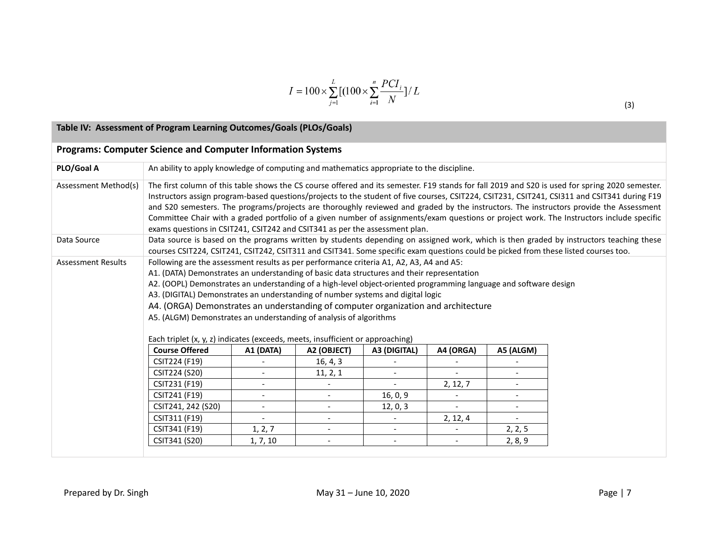$$
I = 100 \times \sum_{j=1}^{L} [(100 \times \sum_{i=1}^{n} \frac{PCI_i}{N})^{t}L
$$

|  | ∍<br>∍ | ) |
|--|--------|---|
|  |        |   |

## **Table IV: Assessment of Program Learning Outcomes/Goals (PLOs/Goals)**

|                           | <b>Programs: Computer Science and Computer Information Systems</b>                                                                                                                                                                                                                                                                                                                                                                                                                                                                                                                                                                                                    |                                                                                                                                                                                                                                                                                |                          |                          |           |                          |  |  |
|---------------------------|-----------------------------------------------------------------------------------------------------------------------------------------------------------------------------------------------------------------------------------------------------------------------------------------------------------------------------------------------------------------------------------------------------------------------------------------------------------------------------------------------------------------------------------------------------------------------------------------------------------------------------------------------------------------------|--------------------------------------------------------------------------------------------------------------------------------------------------------------------------------------------------------------------------------------------------------------------------------|--------------------------|--------------------------|-----------|--------------------------|--|--|
| PLO/Goal A                | An ability to apply knowledge of computing and mathematics appropriate to the discipline.                                                                                                                                                                                                                                                                                                                                                                                                                                                                                                                                                                             |                                                                                                                                                                                                                                                                                |                          |                          |           |                          |  |  |
| Assessment Method(s)      | The first column of this table shows the CS course offered and its semester. F19 stands for fall 2019 and S20 is used for spring 2020 semester.<br>Instructors assign program-based questions/projects to the student of five courses, CSIT224, CSIT231, CSIT241, CSI311 and CSIT341 during F19<br>and S20 semesters. The programs/projects are thoroughly reviewed and graded by the instructors. The instructors provide the Assessment<br>Committee Chair with a graded portfolio of a given number of assignments/exam questions or project work. The Instructors include specific<br>exams questions in CSIT241, CSIT242 and CSIT341 as per the assessment plan. |                                                                                                                                                                                                                                                                                |                          |                          |           |                          |  |  |
| Data Source               |                                                                                                                                                                                                                                                                                                                                                                                                                                                                                                                                                                                                                                                                       | Data source is based on the programs written by students depending on assigned work, which is then graded by instructors teaching these<br>courses CSIT224, CSIT241, CSIT242, CSIT311 and CSIT341. Some specific exam questions could be picked from these listed courses too. |                          |                          |           |                          |  |  |
| <b>Assessment Results</b> | Following are the assessment results as per performance criteria A1, A2, A3, A4 and A5:<br>A1. (DATA) Demonstrates an understanding of basic data structures and their representation<br>A2. (OOPL) Demonstrates an understanding of a high-level object-oriented programming language and software design<br>A3. (DIGITAL) Demonstrates an understanding of number systems and digital logic<br>A4. (ORGA) Demonstrates an understanding of computer organization and architecture<br>A5. (ALGM) Demonstrates an understanding of analysis of algorithms<br>Each triplet (x, y, z) indicates (exceeds, meets, insufficient or approaching)                           |                                                                                                                                                                                                                                                                                |                          |                          |           |                          |  |  |
|                           | <b>Course Offered</b>                                                                                                                                                                                                                                                                                                                                                                                                                                                                                                                                                                                                                                                 | A1 (DATA)                                                                                                                                                                                                                                                                      | A2 (OBJECT)              | A3 (DIGITAL)             | A4 (ORGA) | A5 (ALGM)                |  |  |
|                           | CSIT224 (F19)                                                                                                                                                                                                                                                                                                                                                                                                                                                                                                                                                                                                                                                         |                                                                                                                                                                                                                                                                                | 16, 4, 3                 |                          |           |                          |  |  |
|                           | CSIT224 (S20)                                                                                                                                                                                                                                                                                                                                                                                                                                                                                                                                                                                                                                                         | $\overline{\phantom{0}}$                                                                                                                                                                                                                                                       | 11, 2, 1                 |                          |           | $\overline{\phantom{0}}$ |  |  |
|                           | CSIT231 (F19)                                                                                                                                                                                                                                                                                                                                                                                                                                                                                                                                                                                                                                                         | $ \,$                                                                                                                                                                                                                                                                          |                          | $\equiv$                 | 2, 12, 7  | $\overline{\phantom{0}}$ |  |  |
|                           | CSIT241 (F19)<br>16, 0, 9<br>$-$<br>$-$<br>$\blacksquare$<br>$\overline{\phantom{0}}$                                                                                                                                                                                                                                                                                                                                                                                                                                                                                                                                                                                 |                                                                                                                                                                                                                                                                                |                          |                          |           |                          |  |  |
|                           | CSIT241, 242 (S20)                                                                                                                                                                                                                                                                                                                                                                                                                                                                                                                                                                                                                                                    |                                                                                                                                                                                                                                                                                |                          | 12, 0, 3                 |           |                          |  |  |
|                           | CSIT311 (F19)                                                                                                                                                                                                                                                                                                                                                                                                                                                                                                                                                                                                                                                         |                                                                                                                                                                                                                                                                                |                          |                          | 2, 12, 4  | $\blacksquare$           |  |  |
|                           | CSIT341 (F19)                                                                                                                                                                                                                                                                                                                                                                                                                                                                                                                                                                                                                                                         | 1, 2, 7                                                                                                                                                                                                                                                                        | $\overline{\phantom{a}}$ | $\overline{\phantom{0}}$ |           | 2, 2, 5                  |  |  |
|                           | CSIT341 (S20)                                                                                                                                                                                                                                                                                                                                                                                                                                                                                                                                                                                                                                                         | 1, 7, 10                                                                                                                                                                                                                                                                       |                          | $\overline{\phantom{a}}$ |           | 2, 8, 9                  |  |  |
|                           |                                                                                                                                                                                                                                                                                                                                                                                                                                                                                                                                                                                                                                                                       |                                                                                                                                                                                                                                                                                |                          |                          |           |                          |  |  |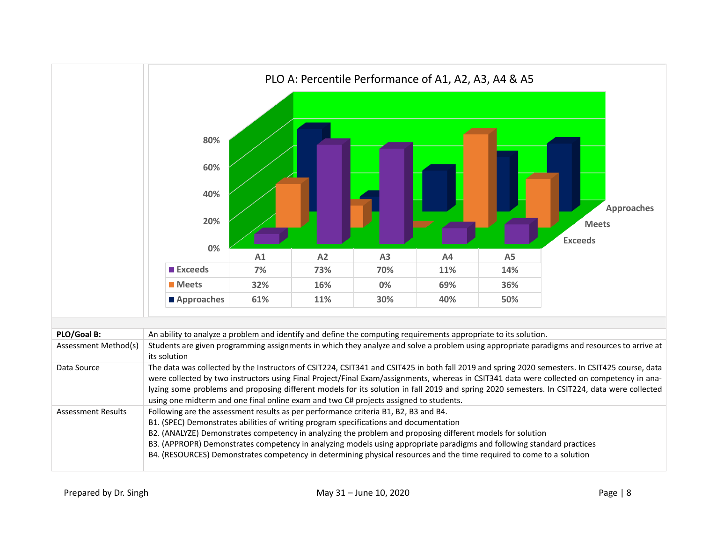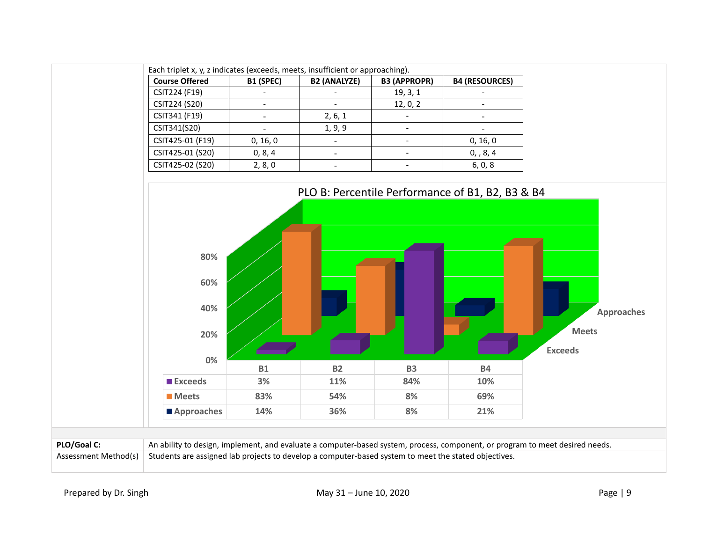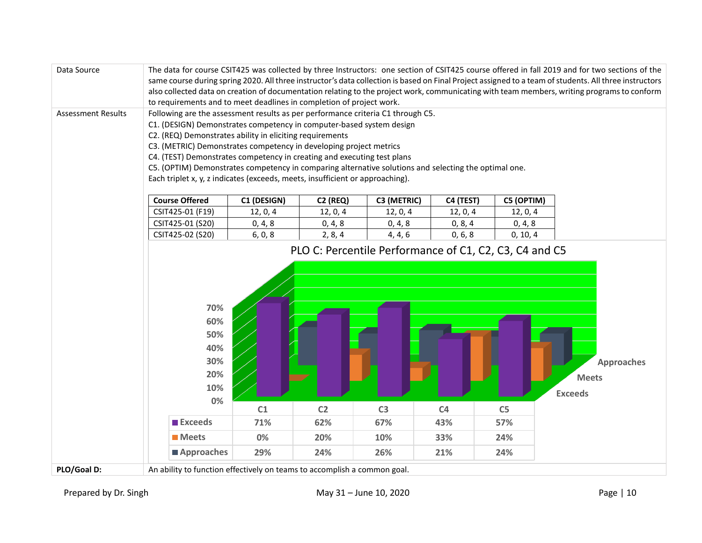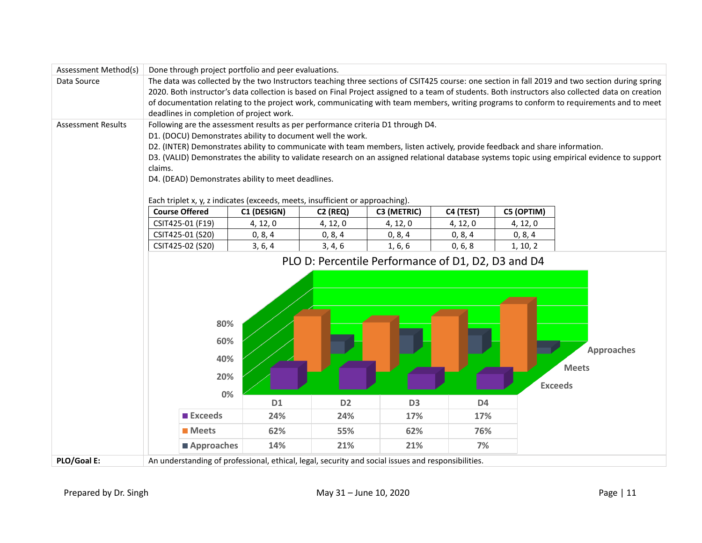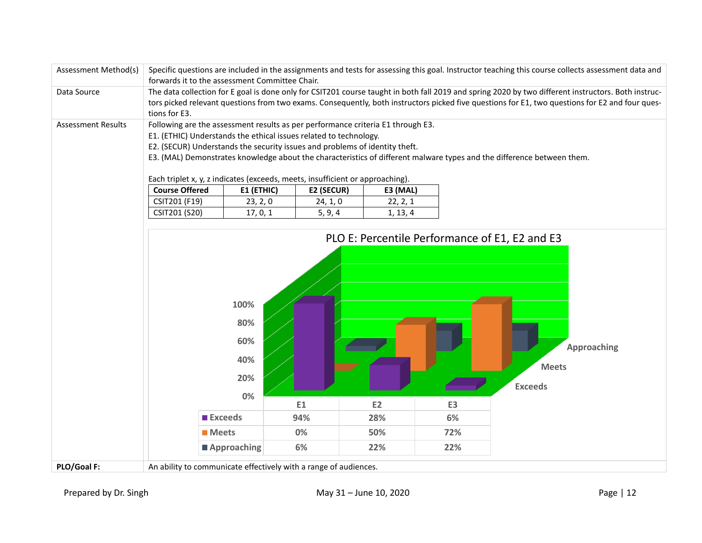| Assessment Method(s)      | Specific questions are included in the assignments and tests for assessing this goal. Instructor teaching this course collects assessment data and<br>forwards it to the assessment Committee Chair.                                                                                                                                                                                                                                                                                                            |                                           |          |           |                |                                                                                                        |  |  |
|---------------------------|-----------------------------------------------------------------------------------------------------------------------------------------------------------------------------------------------------------------------------------------------------------------------------------------------------------------------------------------------------------------------------------------------------------------------------------------------------------------------------------------------------------------|-------------------------------------------|----------|-----------|----------------|--------------------------------------------------------------------------------------------------------|--|--|
| Data Source               | The data collection for E goal is done only for CSIT201 course taught in both fall 2019 and spring 2020 by two different instructors. Both instruc-<br>tors picked relevant questions from two exams. Consequently, both instructors picked five questions for E1, two questions for E2 and four ques-<br>tions for E3.                                                                                                                                                                                         |                                           |          |           |                |                                                                                                        |  |  |
| <b>Assessment Results</b> | Following are the assessment results as per performance criteria E1 through E3.<br>E1. (ETHIC) Understands the ethical issues related to technology.<br>E2. (SECUR) Understands the security issues and problems of identity theft.<br>E3. (MAL) Demonstrates knowledge about the characteristics of different malware types and the difference between them.<br>Each triplet x, y, z indicates (exceeds, meets, insufficient or approaching).<br><b>Course Offered</b><br>E1 (ETHIC)<br>E2 (SECUR)<br>E3 (MAL) |                                           |          |           |                |                                                                                                        |  |  |
|                           | CSIT201 (F19)                                                                                                                                                                                                                                                                                                                                                                                                                                                                                                   | 23, 2, 0                                  | 24, 1, 0 | 22, 2, 1  |                |                                                                                                        |  |  |
|                           | CSIT201 (S20)                                                                                                                                                                                                                                                                                                                                                                                                                                                                                                   | 17, 0, 1                                  | 5, 9, 4  | 1, 13, 4  |                |                                                                                                        |  |  |
|                           |                                                                                                                                                                                                                                                                                                                                                                                                                                                                                                                 | 100%<br>80%<br>60%<br>40%<br>20%<br>$0\%$ |          |           |                | PLO E: Percentile Performance of E1, E2 and E3<br><b>Approaching</b><br><b>Meets</b><br><b>Exceeds</b> |  |  |
|                           |                                                                                                                                                                                                                                                                                                                                                                                                                                                                                                                 |                                           | E1       | <b>E2</b> | E <sub>3</sub> |                                                                                                        |  |  |
|                           | <b>Exceeds</b>                                                                                                                                                                                                                                                                                                                                                                                                                                                                                                  |                                           | 94%      | 28%       | 6%             |                                                                                                        |  |  |
|                           | <b>Meets</b>                                                                                                                                                                                                                                                                                                                                                                                                                                                                                                    |                                           | 0%       | 50%       | 72%            |                                                                                                        |  |  |
|                           | ■ Approaching                                                                                                                                                                                                                                                                                                                                                                                                                                                                                                   |                                           | 6%       | 22%       | 22%            |                                                                                                        |  |  |
| PLO/Goal F:               | An ability to communicate effectively with a range of audiences.                                                                                                                                                                                                                                                                                                                                                                                                                                                |                                           |          |           |                |                                                                                                        |  |  |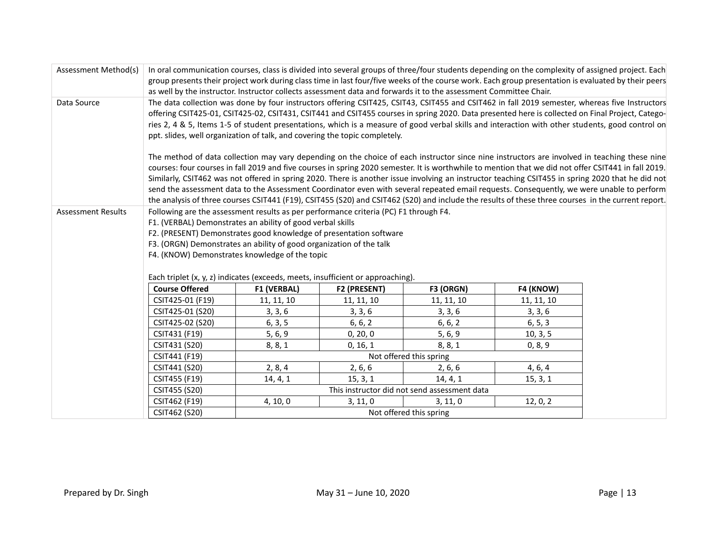| Assessment Method(s)                     | In oral communication courses, class is divided into several groups of three/four students depending on the complexity of assigned project. Each<br>group presents their project work during class time in last four/five weeks of the course work. Each group presentation is evaluated by their peers |                                                                                                                                                                                                                                                                                                                                                                                                                                                                                                                                                                                                                                                                                                                                                                                                                                                                                                                                                                                                                                                                                                                                                                                                                                                                     |              |                                                                                                                                                    |            |  |  |  |
|------------------------------------------|---------------------------------------------------------------------------------------------------------------------------------------------------------------------------------------------------------------------------------------------------------------------------------------------------------|---------------------------------------------------------------------------------------------------------------------------------------------------------------------------------------------------------------------------------------------------------------------------------------------------------------------------------------------------------------------------------------------------------------------------------------------------------------------------------------------------------------------------------------------------------------------------------------------------------------------------------------------------------------------------------------------------------------------------------------------------------------------------------------------------------------------------------------------------------------------------------------------------------------------------------------------------------------------------------------------------------------------------------------------------------------------------------------------------------------------------------------------------------------------------------------------------------------------------------------------------------------------|--------------|----------------------------------------------------------------------------------------------------------------------------------------------------|------------|--|--|--|
|                                          |                                                                                                                                                                                                                                                                                                         |                                                                                                                                                                                                                                                                                                                                                                                                                                                                                                                                                                                                                                                                                                                                                                                                                                                                                                                                                                                                                                                                                                                                                                                                                                                                     |              |                                                                                                                                                    |            |  |  |  |
| Data Source                              |                                                                                                                                                                                                                                                                                                         | as well by the instructor. Instructor collects assessment data and forwards it to the assessment Committee Chair.<br>The data collection was done by four instructors offering CSIT425, CSIT43, CSIT455 and CSIT462 in fall 2019 semester, whereas five Instructors<br>offering CSIT425-01, CSIT425-02, CSIT431, CSIT441 and CSIT455 courses in spring 2020. Data presented here is collected on Final Project, Catego-<br>ries 2, 4 & 5, Items 1-5 of student presentations, which is a measure of good verbal skills and interaction with other students, good control on<br>ppt. slides, well organization of talk, and covering the topic completely.<br>The method of data collection may vary depending on the choice of each instructor since nine instructors are involved in teaching these nine<br>courses: four courses in fall 2019 and five courses in spring 2020 semester. It is worthwhile to mention that we did not offer CSIT441 in fall 2019.<br>Similarly, CSIT462 was not offered in spring 2020. There is another issue involving an instructor teaching CSIT455 in spring 2020 that he did not<br>send the assessment data to the Assessment Coordinator even with several repeated email requests. Consequently, we were unable to perform |              |                                                                                                                                                    |            |  |  |  |
|                                          |                                                                                                                                                                                                                                                                                                         |                                                                                                                                                                                                                                                                                                                                                                                                                                                                                                                                                                                                                                                                                                                                                                                                                                                                                                                                                                                                                                                                                                                                                                                                                                                                     |              | the analysis of three courses CSIT441 (F19), CSIT455 (S20) and CSIT462 (S20) and include the results of these three courses in the current report. |            |  |  |  |
| <b>Assessment Results</b>                | Each triplet (x, y, z) indicates (exceeds, meets, insufficient or approaching).                                                                                                                                                                                                                         | Following are the assessment results as per performance criteria (PC) F1 through F4.<br>F1. (VERBAL) Demonstrates an ability of good verbal skills<br>F2. (PRESENT) Demonstrates good knowledge of presentation software<br>F3. (ORGN) Demonstrates an ability of good organization of the talk<br>F4. (KNOW) Demonstrates knowledge of the topic                                                                                                                                                                                                                                                                                                                                                                                                                                                                                                                                                                                                                                                                                                                                                                                                                                                                                                                   |              |                                                                                                                                                    |            |  |  |  |
|                                          | <b>Course Offered</b>                                                                                                                                                                                                                                                                                   | <b>F1 (VERBAL)</b>                                                                                                                                                                                                                                                                                                                                                                                                                                                                                                                                                                                                                                                                                                                                                                                                                                                                                                                                                                                                                                                                                                                                                                                                                                                  | F2 (PRESENT) | F3 (ORGN)                                                                                                                                          | F4 (KNOW)  |  |  |  |
|                                          | CSIT425-01 (F19)                                                                                                                                                                                                                                                                                        | 11, 11, 10                                                                                                                                                                                                                                                                                                                                                                                                                                                                                                                                                                                                                                                                                                                                                                                                                                                                                                                                                                                                                                                                                                                                                                                                                                                          | 11, 11, 10   | 11, 11, 10                                                                                                                                         | 11, 11, 10 |  |  |  |
|                                          | CSIT425-01 (S20)                                                                                                                                                                                                                                                                                        | 3, 3, 6                                                                                                                                                                                                                                                                                                                                                                                                                                                                                                                                                                                                                                                                                                                                                                                                                                                                                                                                                                                                                                                                                                                                                                                                                                                             | 3, 3, 6      | 3, 3, 6                                                                                                                                            | 3, 3, 6    |  |  |  |
|                                          | CSIT425-02 (S20)                                                                                                                                                                                                                                                                                        | 6, 3, 5                                                                                                                                                                                                                                                                                                                                                                                                                                                                                                                                                                                                                                                                                                                                                                                                                                                                                                                                                                                                                                                                                                                                                                                                                                                             | 6, 6, 2      | 6, 6, 2                                                                                                                                            | 6, 5, 3    |  |  |  |
|                                          | CSIT431 (F19)                                                                                                                                                                                                                                                                                           | 5, 6, 9                                                                                                                                                                                                                                                                                                                                                                                                                                                                                                                                                                                                                                                                                                                                                                                                                                                                                                                                                                                                                                                                                                                                                                                                                                                             | 0, 20, 0     | 5, 6, 9                                                                                                                                            | 10, 3, 5   |  |  |  |
|                                          | CSIT431 (S20)                                                                                                                                                                                                                                                                                           | 8, 8, 1                                                                                                                                                                                                                                                                                                                                                                                                                                                                                                                                                                                                                                                                                                                                                                                                                                                                                                                                                                                                                                                                                                                                                                                                                                                             | 0, 16, 1     | 8, 8, 1                                                                                                                                            | 0, 8, 9    |  |  |  |
|                                          | CSIT441 (F19)                                                                                                                                                                                                                                                                                           | Not offered this spring                                                                                                                                                                                                                                                                                                                                                                                                                                                                                                                                                                                                                                                                                                                                                                                                                                                                                                                                                                                                                                                                                                                                                                                                                                             |              |                                                                                                                                                    |            |  |  |  |
|                                          | CSIT441 (S20)                                                                                                                                                                                                                                                                                           | 2, 8, 4                                                                                                                                                                                                                                                                                                                                                                                                                                                                                                                                                                                                                                                                                                                                                                                                                                                                                                                                                                                                                                                                                                                                                                                                                                                             | 2, 6, 6      | 2, 6, 6                                                                                                                                            | 4, 6, 4    |  |  |  |
|                                          | CSIT455 (F19)                                                                                                                                                                                                                                                                                           | 14, 4, 1                                                                                                                                                                                                                                                                                                                                                                                                                                                                                                                                                                                                                                                                                                                                                                                                                                                                                                                                                                                                                                                                                                                                                                                                                                                            | 15, 3, 1     | 14, 4, 1                                                                                                                                           | 15, 3, 1   |  |  |  |
|                                          | CSIT455 (S20)                                                                                                                                                                                                                                                                                           |                                                                                                                                                                                                                                                                                                                                                                                                                                                                                                                                                                                                                                                                                                                                                                                                                                                                                                                                                                                                                                                                                                                                                                                                                                                                     |              | This instructor did not send assessment data                                                                                                       |            |  |  |  |
|                                          | CSIT462 (F19)                                                                                                                                                                                                                                                                                           | 4, 10, 0                                                                                                                                                                                                                                                                                                                                                                                                                                                                                                                                                                                                                                                                                                                                                                                                                                                                                                                                                                                                                                                                                                                                                                                                                                                            | 3, 11, 0     | 3, 11, 0                                                                                                                                           | 12, 0, 2   |  |  |  |
| CSIT462 (S20)<br>Not offered this spring |                                                                                                                                                                                                                                                                                                         |                                                                                                                                                                                                                                                                                                                                                                                                                                                                                                                                                                                                                                                                                                                                                                                                                                                                                                                                                                                                                                                                                                                                                                                                                                                                     |              |                                                                                                                                                    |            |  |  |  |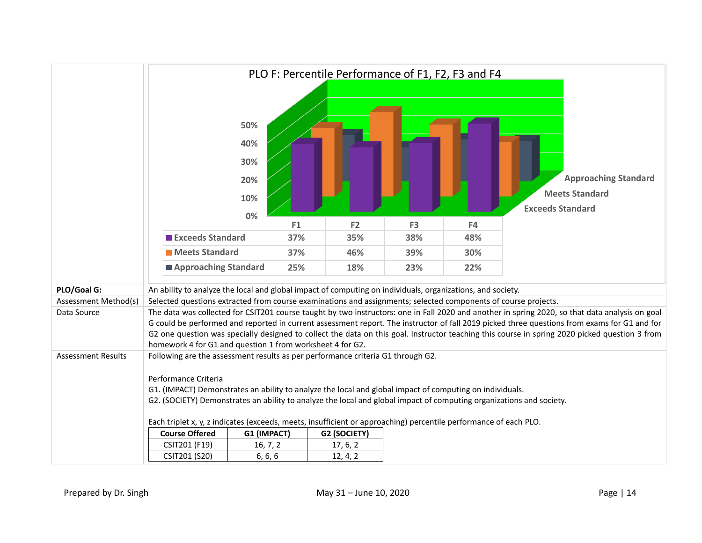|                           | PLO F: Percentile Performance of F1, F2, F3 and F4                                                                                                                                                                               |                                 |     |                                                                                                                  |                |     |                                                                                                                                                 |  |
|---------------------------|----------------------------------------------------------------------------------------------------------------------------------------------------------------------------------------------------------------------------------|---------------------------------|-----|------------------------------------------------------------------------------------------------------------------|----------------|-----|-------------------------------------------------------------------------------------------------------------------------------------------------|--|
|                           |                                                                                                                                                                                                                                  | 50%<br>40%<br>30%<br>20%<br>10% |     |                                                                                                                  |                |     | <b>Approaching Standard</b><br><b>Meets Standard</b><br><b>Exceeds Standard</b>                                                                 |  |
|                           |                                                                                                                                                                                                                                  | $0\%$                           | F1  | F <sub>2</sub>                                                                                                   | F <sub>3</sub> | F4  |                                                                                                                                                 |  |
|                           | <b>Exceeds Standard</b>                                                                                                                                                                                                          |                                 | 37% | 35%                                                                                                              | 38%            | 48% |                                                                                                                                                 |  |
|                           | <b>Meets Standard</b>                                                                                                                                                                                                            |                                 | 37% | 46%                                                                                                              | 39%            | 30% |                                                                                                                                                 |  |
|                           |                                                                                                                                                                                                                                  | Approaching Standard            | 25% | 18%                                                                                                              | 23%            | 22% |                                                                                                                                                 |  |
| PLO/Goal G:               |                                                                                                                                                                                                                                  |                                 |     | An ability to analyze the local and global impact of computing on individuals, organizations, and society.       |                |     |                                                                                                                                                 |  |
| Assessment Method(s)      |                                                                                                                                                                                                                                  |                                 |     | Selected questions extracted from course examinations and assignments; selected components of course projects.   |                |     |                                                                                                                                                 |  |
| Data Source               |                                                                                                                                                                                                                                  |                                 |     |                                                                                                                  |                |     | The data was collected for CSIT201 course taught by two instructors: one in Fall 2020 and another in spring 2020, so that data analysis on goal |  |
|                           |                                                                                                                                                                                                                                  |                                 |     |                                                                                                                  |                |     | G could be performed and reported in current assessment report. The instructor of fall 2019 picked three questions from exams for G1 and for    |  |
|                           | homework 4 for G1 and question 1 from worksheet 4 for G2.                                                                                                                                                                        |                                 |     |                                                                                                                  |                |     | G2 one question was specially designed to collect the data on this goal. Instructor teaching this course in spring 2020 picked question 3 from  |  |
| <b>Assessment Results</b> |                                                                                                                                                                                                                                  |                                 |     |                                                                                                                  |                |     |                                                                                                                                                 |  |
|                           | Following are the assessment results as per performance criteria G1 through G2.                                                                                                                                                  |                                 |     |                                                                                                                  |                |     |                                                                                                                                                 |  |
|                           | Performance Criteria                                                                                                                                                                                                             |                                 |     |                                                                                                                  |                |     |                                                                                                                                                 |  |
|                           | G1. (IMPACT) Demonstrates an ability to analyze the local and global impact of computing on individuals.<br>G2. (SOCIETY) Demonstrates an ability to analyze the local and global impact of computing organizations and society. |                                 |     |                                                                                                                  |                |     |                                                                                                                                                 |  |
|                           |                                                                                                                                                                                                                                  |                                 |     |                                                                                                                  |                |     |                                                                                                                                                 |  |
|                           |                                                                                                                                                                                                                                  |                                 |     | Each triplet x, y, z indicates (exceeds, meets, insufficient or approaching) percentile performance of each PLO. |                |     |                                                                                                                                                 |  |
|                           | <b>Course Offered</b>                                                                                                                                                                                                            | G1 (IMPACT)                     |     | G2 (SOCIETY)                                                                                                     |                |     |                                                                                                                                                 |  |
|                           | CSIT201 (F19)                                                                                                                                                                                                                    | 16, 7, 2                        |     | 17, 6, 2                                                                                                         |                |     |                                                                                                                                                 |  |
|                           | CSIT201 (S20)                                                                                                                                                                                                                    | 6, 6, 6                         |     | 12, 4, 2                                                                                                         |                |     |                                                                                                                                                 |  |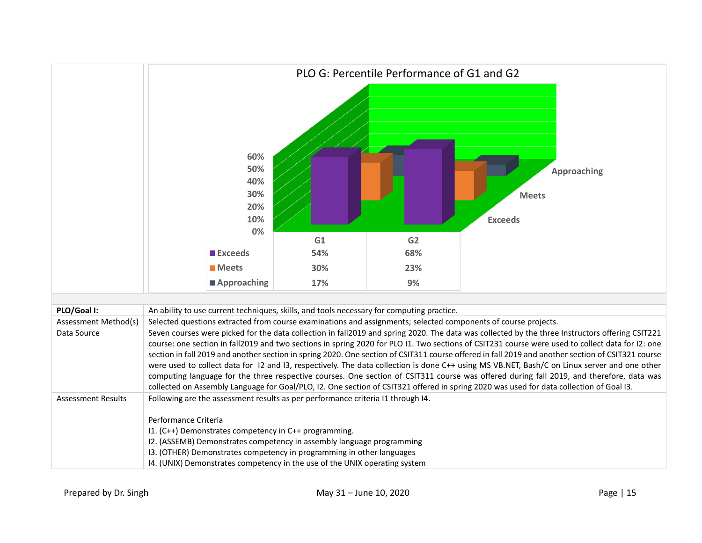|                           | PLO G: Percentile Performance of G1 and G2                                                                                                                                                                                                                                                                                                                                                                                                                                                                                                                                                                                                                                                                                                                                                                                                                                                      |     |     |                                                      |  |  |  |
|---------------------------|-------------------------------------------------------------------------------------------------------------------------------------------------------------------------------------------------------------------------------------------------------------------------------------------------------------------------------------------------------------------------------------------------------------------------------------------------------------------------------------------------------------------------------------------------------------------------------------------------------------------------------------------------------------------------------------------------------------------------------------------------------------------------------------------------------------------------------------------------------------------------------------------------|-----|-----|------------------------------------------------------|--|--|--|
|                           | 60%<br>50%<br>40%<br>30%<br>20%<br>10%<br>0%                                                                                                                                                                                                                                                                                                                                                                                                                                                                                                                                                                                                                                                                                                                                                                                                                                                    | G1  | G2  | <b>Approaching</b><br><b>Meets</b><br><b>Exceeds</b> |  |  |  |
|                           | <b>Exceeds</b>                                                                                                                                                                                                                                                                                                                                                                                                                                                                                                                                                                                                                                                                                                                                                                                                                                                                                  | 54% | 68% |                                                      |  |  |  |
|                           | <b>Meets</b>                                                                                                                                                                                                                                                                                                                                                                                                                                                                                                                                                                                                                                                                                                                                                                                                                                                                                    | 30% | 23% |                                                      |  |  |  |
|                           | ■ Approaching                                                                                                                                                                                                                                                                                                                                                                                                                                                                                                                                                                                                                                                                                                                                                                                                                                                                                   | 17% | 9%  |                                                      |  |  |  |
|                           |                                                                                                                                                                                                                                                                                                                                                                                                                                                                                                                                                                                                                                                                                                                                                                                                                                                                                                 |     |     |                                                      |  |  |  |
| PLO/Goal I:               | An ability to use current techniques, skills, and tools necessary for computing practice.                                                                                                                                                                                                                                                                                                                                                                                                                                                                                                                                                                                                                                                                                                                                                                                                       |     |     |                                                      |  |  |  |
| Assessment Method(s)      | Selected questions extracted from course examinations and assignments; selected components of course projects.                                                                                                                                                                                                                                                                                                                                                                                                                                                                                                                                                                                                                                                                                                                                                                                  |     |     |                                                      |  |  |  |
| Data Source               | Seven courses were picked for the data collection in fall2019 and spring 2020. The data was collected by the three Instructors offering CSIT221<br>course: one section in fall2019 and two sections in spring 2020 for PLO I1. Two sections of CSIT231 course were used to collect data for I2: one<br>section in fall 2019 and another section in spring 2020. One section of CSIT311 course offered in fall 2019 and another section of CSIT321 course<br>were used to collect data for 12 and 13, respectively. The data collection is done C++ using MS VB.NET, Bash/C on Linux server and one other<br>computing language for the three respective courses. One section of CSIT311 course was offered during fall 2019, and therefore, data was<br>collected on Assembly Language for Goal/PLO, I2. One section of CSIT321 offered in spring 2020 was used for data collection of Goal I3. |     |     |                                                      |  |  |  |
| <b>Assessment Results</b> | Following are the assessment results as per performance criteria I1 through I4.<br>Performance Criteria<br>I1. (C++) Demonstrates competency in C++ programming.<br>I2. (ASSEMB) Demonstrates competency in assembly language programming<br>13. (OTHER) Demonstrates competency in programming in other languages<br>I4. (UNIX) Demonstrates competency in the use of the UNIX operating system                                                                                                                                                                                                                                                                                                                                                                                                                                                                                                |     |     |                                                      |  |  |  |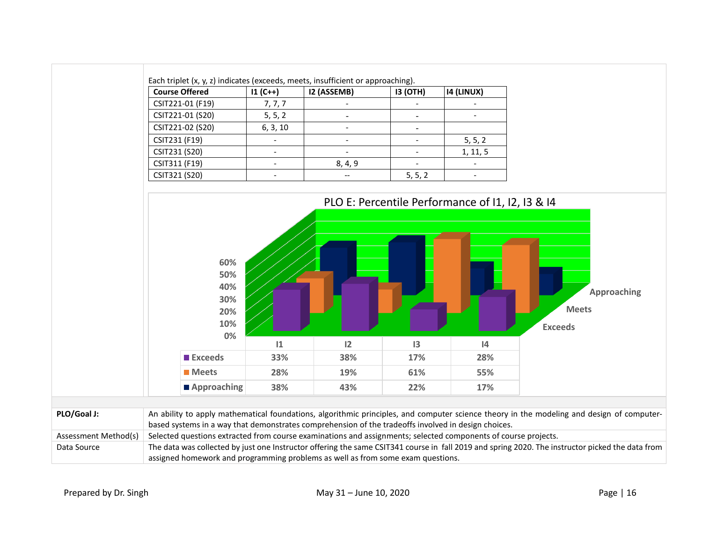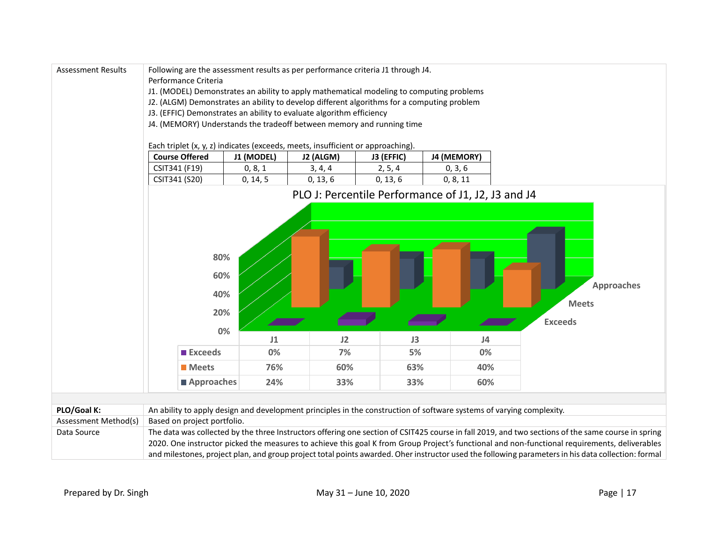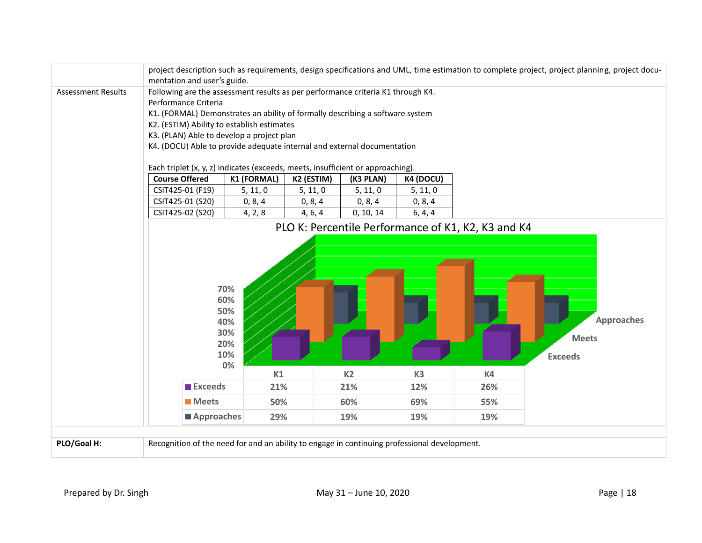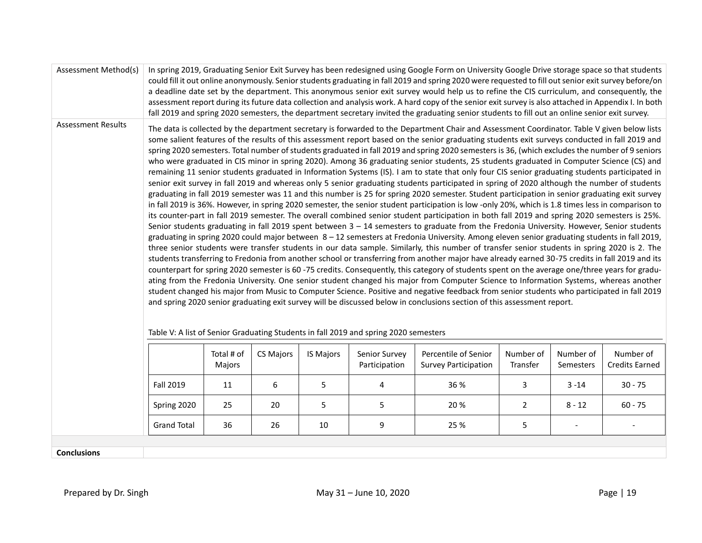| Assessment Method(s)      | In spring 2019, Graduating Senior Exit Survey has been redesigned using Google Form on University Google Drive storage space so that students<br>could fill it out online anonymously. Senior students graduating in fall 2019 and spring 2020 were requested to fill out senior exit survey before/on<br>a deadline date set by the department. This anonymous senior exit survey would help us to refine the CIS curriculum, and consequently, the<br>assessment report during its future data collection and analysis work. A hard copy of the senior exit survey is also attached in Appendix I. In both<br>fall 2019 and spring 2020 semesters, the department secretary invited the graduating senior students to fill out an online senior exit survey.                                                                                                                                                                                                                                                                                                                                                                                                                                                                                                                                                                                                                                                                                                                                                                                                                                                                                                                                                                                                                                                                                                                                                                                                                                                                                                                                                                                                                                                                                                                                                                                                                                                                                                                                                                    |                      |           |                  |                                |                                                     |                       |                        |                                    |  |
|---------------------------|-----------------------------------------------------------------------------------------------------------------------------------------------------------------------------------------------------------------------------------------------------------------------------------------------------------------------------------------------------------------------------------------------------------------------------------------------------------------------------------------------------------------------------------------------------------------------------------------------------------------------------------------------------------------------------------------------------------------------------------------------------------------------------------------------------------------------------------------------------------------------------------------------------------------------------------------------------------------------------------------------------------------------------------------------------------------------------------------------------------------------------------------------------------------------------------------------------------------------------------------------------------------------------------------------------------------------------------------------------------------------------------------------------------------------------------------------------------------------------------------------------------------------------------------------------------------------------------------------------------------------------------------------------------------------------------------------------------------------------------------------------------------------------------------------------------------------------------------------------------------------------------------------------------------------------------------------------------------------------------------------------------------------------------------------------------------------------------------------------------------------------------------------------------------------------------------------------------------------------------------------------------------------------------------------------------------------------------------------------------------------------------------------------------------------------------------------------------------------------------------------------------------------------------|----------------------|-----------|------------------|--------------------------------|-----------------------------------------------------|-----------------------|------------------------|------------------------------------|--|
| <b>Assessment Results</b> | The data is collected by the department secretary is forwarded to the Department Chair and Assessment Coordinator. Table V given below lists<br>some salient features of the results of this assessment report based on the senior graduating students exit surveys conducted in fall 2019 and<br>spring 2020 semesters. Total number of students graduated in fall 2019 and spring 2020 semesters is 36, (which excludes the number of 9 seniors<br>who were graduated in CIS minor in spring 2020). Among 36 graduating senior students, 25 students graduated in Computer Science (CS) and<br>remaining 11 senior students graduated in Information Systems (IS). I am to state that only four CIS senior graduating students participated in<br>senior exit survey in fall 2019 and whereas only 5 senior graduating students participated in spring of 2020 although the number of students<br>graduating in fall 2019 semester was 11 and this number is 25 for spring 2020 semester. Student participation in senior graduating exit survey<br>in fall 2019 is 36%. However, in spring 2020 semester, the senior student participation is low -only 20%, which is 1.8 times less in comparison to<br>its counter-part in fall 2019 semester. The overall combined senior student participation in both fall 2019 and spring 2020 semesters is 25%.<br>Senior students graduating in fall 2019 spent between $3 - 14$ semesters to graduate from the Fredonia University. However, Senior students<br>graduating in spring 2020 could major between 8 - 12 semesters at Fredonia University. Among eleven senior graduating students in fall 2019,<br>three senior students were transfer students in our data sample. Similarly, this number of transfer senior students in spring 2020 is 2. The<br>students transferring to Fredonia from another school or transferring from another major have already earned 30-75 credits in fall 2019 and its<br>counterpart for spring 2020 semester is 60-75 credits. Consequently, this category of students spent on the average one/three years for gradu-<br>ating from the Fredonia University. One senior student changed his major from Computer Science to Information Systems, whereas another<br>student changed his major from Music to Computer Science. Positive and negative feedback from senior students who participated in fall 2019<br>and spring 2020 senior graduating exit survey will be discussed below in conclusions section of this assessment report. |                      |           |                  |                                |                                                     |                       |                        |                                    |  |
|                           |                                                                                                                                                                                                                                                                                                                                                                                                                                                                                                                                                                                                                                                                                                                                                                                                                                                                                                                                                                                                                                                                                                                                                                                                                                                                                                                                                                                                                                                                                                                                                                                                                                                                                                                                                                                                                                                                                                                                                                                                                                                                                                                                                                                                                                                                                                                                                                                                                                                                                                                                   | Total # of<br>Majors | CS Majors | <b>IS Majors</b> | Senior Survey<br>Participation | Percentile of Senior<br><b>Survey Participation</b> | Number of<br>Transfer | Number of<br>Semesters | Number of<br><b>Credits Earned</b> |  |
|                           | <b>Fall 2019</b>                                                                                                                                                                                                                                                                                                                                                                                                                                                                                                                                                                                                                                                                                                                                                                                                                                                                                                                                                                                                                                                                                                                                                                                                                                                                                                                                                                                                                                                                                                                                                                                                                                                                                                                                                                                                                                                                                                                                                                                                                                                                                                                                                                                                                                                                                                                                                                                                                                                                                                                  | 11                   | 6         | 5                | 4                              | 36 %                                                | 3                     | $3 - 14$               | $30 - 75$                          |  |
|                           | Spring 2020                                                                                                                                                                                                                                                                                                                                                                                                                                                                                                                                                                                                                                                                                                                                                                                                                                                                                                                                                                                                                                                                                                                                                                                                                                                                                                                                                                                                                                                                                                                                                                                                                                                                                                                                                                                                                                                                                                                                                                                                                                                                                                                                                                                                                                                                                                                                                                                                                                                                                                                       | 25                   | 20        | 5                | 5                              | 20%                                                 | $\overline{2}$        | $8 - 12$               | $60 - 75$                          |  |
|                           | <b>Grand Total</b>                                                                                                                                                                                                                                                                                                                                                                                                                                                                                                                                                                                                                                                                                                                                                                                                                                                                                                                                                                                                                                                                                                                                                                                                                                                                                                                                                                                                                                                                                                                                                                                                                                                                                                                                                                                                                                                                                                                                                                                                                                                                                                                                                                                                                                                                                                                                                                                                                                                                                                                | 36                   | 26        | 10               | 9                              | 25 %                                                | 5                     |                        |                                    |  |

**Conclusions**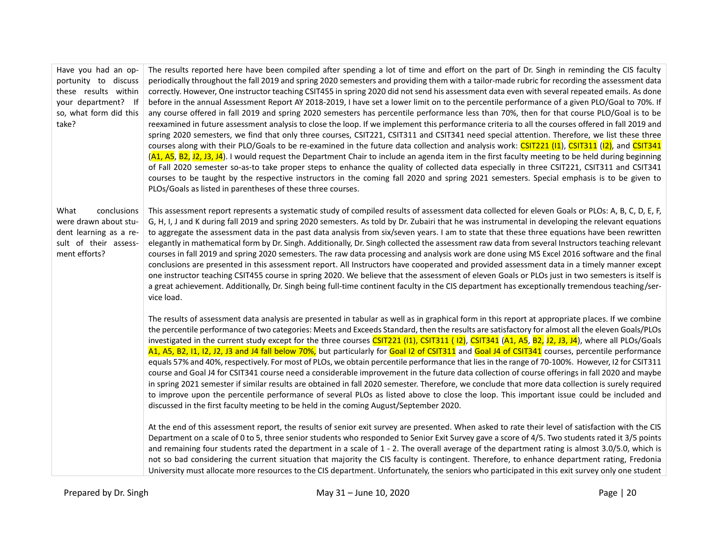| Have you had an op-<br>portunity to discuss<br>these results within<br>your department? If<br>so, what form did this<br>take? | The results reported here have been compiled after spending a lot of time and effort on the part of Dr. Singh in reminding the CIS faculty<br>periodically throughout the fall 2019 and spring 2020 semesters and providing them with a tailor-made rubric for recording the assessment data<br>correctly. However, One instructor teaching CSIT455 in spring 2020 did not send his assessment data even with several repeated emails. As done<br>before in the annual Assessment Report AY 2018-2019, I have set a lower limit on to the percentile performance of a given PLO/Goal to 70%. If<br>any course offered in fall 2019 and spring 2020 semesters has percentile performance less than 70%, then for that course PLO/Goal is to be<br>reexamined in future assessment analysis to close the loop. If we implement this performance criteria to all the courses offered in fall 2019 and<br>spring 2020 semesters, we find that only three courses, CSIT221, CSIT311 and CSIT341 need special attention. Therefore, we list these three<br>courses along with their PLO/Goals to be re-examined in the future data collection and analysis work: CSIT221 (I1), CSIT311 (I2), and CSIT341<br>(A1, A5, B2, J2, J3, J4). I would request the Department Chair to include an agenda item in the first faculty meeting to be held during beginning<br>of Fall 2020 semester so-as-to take proper steps to enhance the quality of collected data especially in three CSIT221, CSIT311 and CSIT341 |
|-------------------------------------------------------------------------------------------------------------------------------|-------------------------------------------------------------------------------------------------------------------------------------------------------------------------------------------------------------------------------------------------------------------------------------------------------------------------------------------------------------------------------------------------------------------------------------------------------------------------------------------------------------------------------------------------------------------------------------------------------------------------------------------------------------------------------------------------------------------------------------------------------------------------------------------------------------------------------------------------------------------------------------------------------------------------------------------------------------------------------------------------------------------------------------------------------------------------------------------------------------------------------------------------------------------------------------------------------------------------------------------------------------------------------------------------------------------------------------------------------------------------------------------------------------------------------------------------------------------------------------------------------|
|                                                                                                                               | courses to be taught by the respective instructors in the coming fall 2020 and spring 2021 semesters. Special emphasis is to be given to<br>PLOs/Goals as listed in parentheses of these three courses.                                                                                                                                                                                                                                                                                                                                                                                                                                                                                                                                                                                                                                                                                                                                                                                                                                                                                                                                                                                                                                                                                                                                                                                                                                                                                               |
| What<br>conclusions<br>were drawn about stu-<br>dent learning as a re-<br>sult of their assess-<br>ment efforts?              | This assessment report represents a systematic study of compiled results of assessment data collected for eleven Goals or PLOs: A, B, C, D, E, F,<br>G, H, I, J and K during fall 2019 and spring 2020 semesters. As told by Dr. Zubairi that he was instrumental in developing the relevant equations<br>to aggregate the assessment data in the past data analysis from six/seven years. I am to state that these three equations have been rewritten<br>elegantly in mathematical form by Dr. Singh. Additionally, Dr. Singh collected the assessment raw data from several Instructors teaching relevant<br>courses in fall 2019 and spring 2020 semesters. The raw data processing and analysis work are done using MS Excel 2016 software and the final<br>conclusions are presented in this assessment report. All Instructors have cooperated and provided assessment data in a timely manner except<br>one instructor teaching CSIT455 course in spring 2020. We believe that the assessment of eleven Goals or PLOs just in two semesters is itself is<br>a great achievement. Additionally, Dr. Singh being full-time continent faculty in the CIS department has exceptionally tremendous teaching/ser-<br>vice load.                                                                                                                                                                                                                                                                     |
|                                                                                                                               | The results of assessment data analysis are presented in tabular as well as in graphical form in this report at appropriate places. If we combine<br>the percentile performance of two categories: Meets and Exceeds Standard, then the results are satisfactory for almost all the eleven Goals/PLOs<br>investigated in the current study except for the three courses CSIT221 (11), CSIT311 (12), CSIT341 (A1, A5, B2, J2, J3, J4), where all PLOs/Goals<br>A1, A5, B2, I1, I2, J2, J3 and J4 fall below 70%, but particularly for Goal I2 of CSIT311 and Goal J4 of CSIT341 courses, percentile performance<br>equals 57% and 40%, respectively. For most of PLOs, we obtain percentile performance that lies in the range of 70-100%. However, I2 for CSIT311<br>course and Goal J4 for CSIT341 course need a considerable improvement in the future data collection of course offerings in fall 2020 and maybe<br>in spring 2021 semester if similar results are obtained in fall 2020 semester. Therefore, we conclude that more data collection is surely required<br>to improve upon the percentile performance of several PLOs as listed above to close the loop. This important issue could be included and<br>discussed in the first faculty meeting to be held in the coming August/September 2020.                                                                                                                                                                                       |
|                                                                                                                               | At the end of this assessment report, the results of senior exit survey are presented. When asked to rate their level of satisfaction with the CIS<br>Department on a scale of 0 to 5, three senior students who responded to Senior Exit Survey gave a score of 4/5. Two students rated it 3/5 points<br>and remaining four students rated the department in a scale of 1 - 2. The overall average of the department rating is almost 3.0/5.0, which is<br>not so bad considering the current situation that majority the CIS faculty is contingent. Therefore, to enhance department rating, Fredonia<br>University must allocate more resources to the CIS department. Unfortunately, the seniors who participated in this exit survey only one student                                                                                                                                                                                                                                                                                                                                                                                                                                                                                                                                                                                                                                                                                                                                            |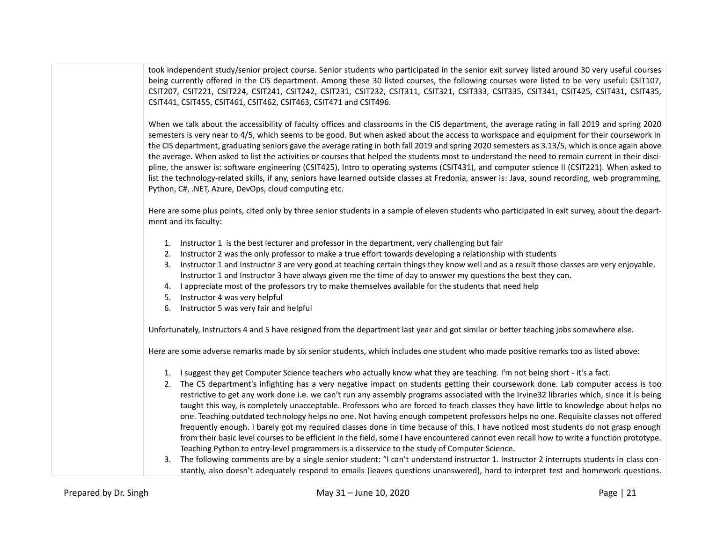took independent study/senior project course. Senior students who participated in the senior exit survey listed around 30 very useful courses being currently offered in the CIS department. Among these 30 listed courses, the following courses were listed to be very useful: CSIT107, CSIT207, CSIT221, CSIT224, CSIT241, CSIT242, CSIT231, CSIT232, CSIT311, CSIT321, CSIT333, CSIT335, CSIT341, CSIT425, CSIT431, CSIT435, CSIT441, CSIT455, CSIT461, CSIT462, CSIT463, CSIT471 and CSIT496.

When we talk about the accessibility of faculty offices and classrooms in the CIS department, the average rating in fall 2019 and spring 2020 semesters is very near to 4/5, which seems to be good. But when asked about the access to workspace and equipment for their coursework in the CIS department, graduating seniors gave the average rating in both fall 2019 and spring 2020 semesters as 3.13/5, which is once again above the average. When asked to list the activities or courses that helped the students most to understand the need to remain current in their discipline, the answer is: software engineering (CSIT425), Intro to operating systems (CSIT431), and computer science II (CSIT221). When asked to list the technology-related skills, if any, seniors have learned outside classes at Fredonia, answer is: Java, sound recording, web programming, Python, C#, .NET, Azure, DevOps, cloud computing etc.

Here are some plus points, cited only by three senior students in a sample of eleven students who participated in exit survey, about the department and its faculty:

- 1. Instructor 1 is the best lecturer and professor in the department, very challenging but fair
- 2. Instructor 2 was the only professor to make a true effort towards developing a relationship with students
- 3. Instructor 1 and Instructor 3 are very good at teaching certain things they know well and as a result those classes are very enjoyable. Instructor 1 and Instructor 3 have always given me the time of day to answer my questions the best they can.
- 4. I appreciate most of the professors try to make themselves available for the students that need help
- 5. Instructor 4 was very helpful
- 6. Instructor 5 was very fair and helpful

Unfortunately, Instructors 4 and 5 have resigned from the department last year and got similar or better teaching jobs somewhere else.

Here are some adverse remarks made by six senior students, which includes one student who made positive remarks too as listed above:

- 1. I suggest they get Computer Science teachers who actually know what they are teaching. I'm not being short it's a fact.
- 2. The CS department's infighting has a very negative impact on students getting their coursework done. Lab computer access is too restrictive to get any work done i.e. we can't run any assembly programs associated with the Irvine32 libraries which, since it is being taught this way, is completely unacceptable. Professors who are forced to teach classes they have little to knowledge about helps no one. Teaching outdated technology helps no one. Not having enough competent professors helps no one. Requisite classes not offered frequently enough. I barely got my required classes done in time because of this. I have noticed most students do not grasp enough from their basic level courses to be efficient in the field, some I have encountered cannot even recall how to write a function prototype. Teaching Python to entry-level programmers is a disservice to the study of Computer Science.
- 3. The following comments are by a single senior student: "I can't understand instructor 1. Instructor 2 interrupts students in class constantly, also doesn't adequately respond to emails (leaves questions unanswered), hard to interpret test and homework questions.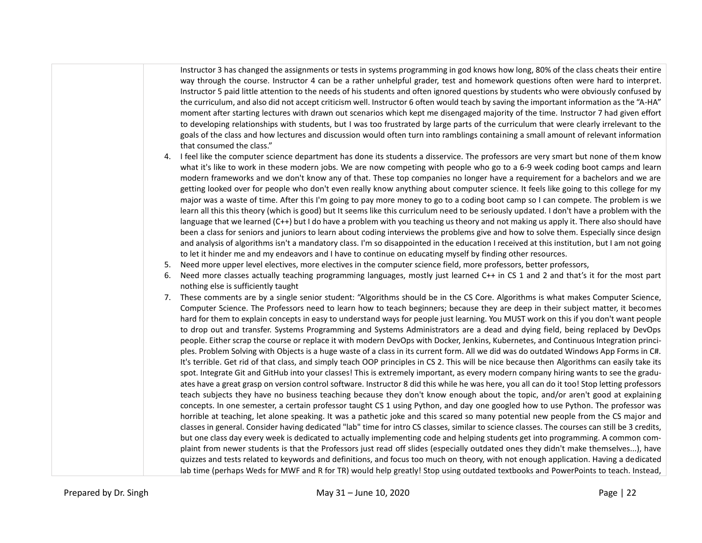Instructor 3 has changed the assignments or tests in systems programming in god knows how long, 80% of the class cheats their entire way through the course. Instructor 4 can be a rather unhelpful grader, test and homework questions often were hard to interpret. Instructor 5 paid little attention to the needs of his students and often ignored questions by students who were obviously confused by the curriculum, and also did not accept criticism well. Instructor 6 often would teach by saving the important information as the "A-HA" moment after starting lectures with drawn out scenarios which kept me disengaged majority of the time. Instructor 7 had given effort to developing relationships with students, but I was too frustrated by large parts of the curriculum that were clearly irrelevant to the goals of the class and how lectures and discussion would often turn into ramblings containing a small amount of relevant information that consumed the class."

- 4. I feel like the computer science department has done its students a disservice. The professors are very smart but none of them know what it's like to work in these modern jobs. We are now competing with people who go to a 6-9 week coding boot camps and learn modern frameworks and we don't know any of that. These top companies no longer have a requirement for a bachelors and we are getting looked over for people who don't even really know anything about computer science. It feels like going to this college for my major was a waste of time. After this I'm going to pay more money to go to a coding boot camp so I can compete. The problem is we learn all this this theory (which is good) but It seems like this curriculum need to be seriously updated. I don't have a problem with the language that we learned (C++) but I do have a problem with you teaching us theory and not making us apply it. There also should have been a class for seniors and juniors to learn about coding interviews the problems give and how to solve them. Especially since design and analysis of algorithms isn't a mandatory class. I'm so disappointed in the education I received at this institution, but I am not going to let it hinder me and my endeavors and I have to continue on educating myself by finding other resources.
- 5. Need more upper level electives, more electives in the computer science field, more professors, better professors,
- 6. Need more classes actually teaching programming languages, mostly just learned C++ in CS 1 and 2 and that's it for the most part nothing else is sufficiently taught
- 7. These comments are by a single senior student: "Algorithms should be in the CS Core. Algorithms is what makes Computer Science, Computer Science. The Professors need to learn how to teach beginners; because they are deep in their subject matter, it becomes hard for them to explain concepts in easy to understand ways for people just learning. You MUST work on this if you don't want people to drop out and transfer. Systems Programming and Systems Administrators are a dead and dying field, being replaced by DevOps people. Either scrap the course or replace it with modern DevOps with Docker, Jenkins, Kubernetes, and Continuous Integration principles. Problem Solving with Objects is a huge waste of a class in its current form. All we did was do outdated Windows App Forms in C#. It's terrible. Get rid of that class, and simply teach OOP principles in CS 2. This will be nice because then Algorithms can easily take its spot. Integrate Git and GitHub into your classes! This is extremely important, as every modern company hiring wants to see the graduates have a great grasp on version control software. Instructor 8 did this while he was here, you all can do it too! Stop letting professors teach subjects they have no business teaching because they don't know enough about the topic, and/or aren't good at explaining concepts. In one semester, a certain professor taught CS 1 using Python, and day one googled how to use Python. The professor was horrible at teaching, let alone speaking. It was a pathetic joke and this scared so many potential new people from the CS major and classes in general. Consider having dedicated "lab" time for intro CS classes, similar to science classes. The courses can still be 3 credits, but one class day every week is dedicated to actually implementing code and helping students get into programming. A common complaint from newer students is that the Professors just read off slides (especially outdated ones they didn't make themselves...), have quizzes and tests related to keywords and definitions, and focus too much on theory, with not enough application. Having a dedicated lab time (perhaps Weds for MWF and R for TR) would help greatly! Stop using outdated textbooks and PowerPoints to teach. Instead,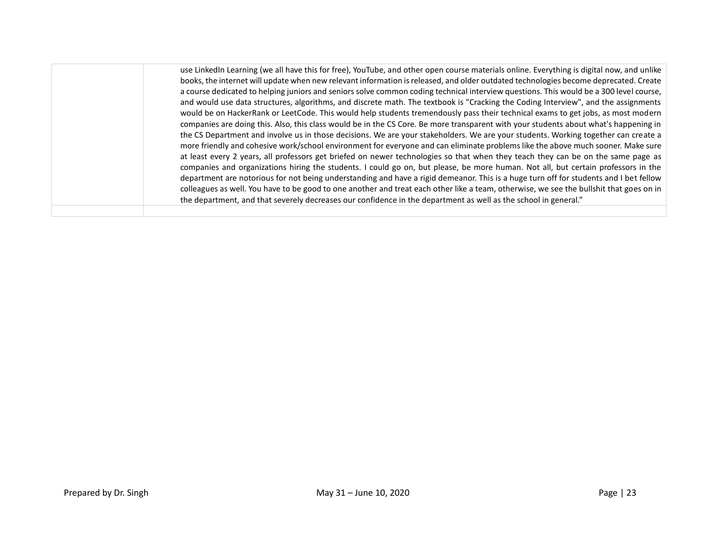use LinkedIn Learning (we all have this for free), YouTube, and other open course materials online. Everything is digital now, and unlike books, the internet will update when new relevant information is released, and older outdated technologies become deprecated. Create a course dedicated to helping juniors and seniors solve common coding technical interview questions. This would be a 300 level course, and would use data structures, algorithms, and discrete math. The textbook is "Cracking the Coding Interview", and the assignments would be on HackerRank or LeetCode. This would help students tremendously pass their technical exams to get jobs, as most modern companies are doing this. Also, this class would be in the CS Core. Be more transparent with your students about what's happening in the CS Department and involve us in those decisions. We are your stakeholders. We are your students. Working together can create a more friendly and cohesive work/school environment for everyone and can eliminate problems like the above much sooner. Make sure at least every 2 years, all professors get briefed on newer technologies so that when they teach they can be on the same page as companies and organizations hiring the students. I could go on, but please, be more human. Not all, but certain professors in the department are notorious for not being understanding and have a rigid demeanor. This is a huge turn off for students and I bet fellow colleagues as well. You have to be good to one another and treat each other like a team, otherwise, we see the bullshit that goes on in the department, and that severely decreases our confidence in the department as well as the school in general."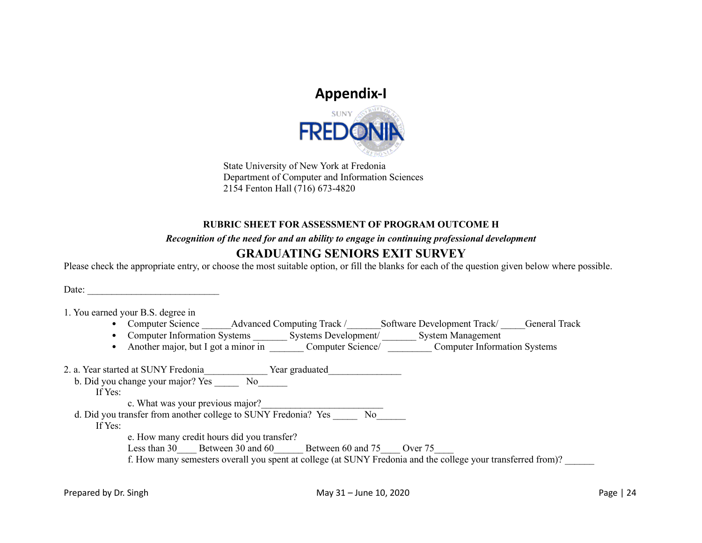# **Appendix-I**



State University of New York at Fredonia Department of Computer and Information Sciences 2154 Fenton Hall (716) 673-4820

### **RUBRIC SHEET FOR ASSESSMENT OF PROGRAM OUTCOME H**

*Recognition of the need for and an ability to engage in continuing professional development* 

## **GRADUATING SENIORS EXIT SURVEY**

Please check the appropriate entry, or choose the most suitable option, or fill the blanks for each of the question given below where possible.

Date:

1. You earned your B.S. degree in

- Computer Science Advanced Computing Track / Software Development Track / General Track
- Computer Information Systems \_\_\_\_\_\_\_\_\_ Systems Development/ \_\_\_\_\_\_\_ System Management
- Another major, but I got a minor in \_\_\_\_\_\_\_\_ Computer Science/ \_\_\_\_\_\_\_\_\_ Computer Information Systems

|         | 2. a. Year started at SUNY Fredonia<br>Year graduated                                                        |
|---------|--------------------------------------------------------------------------------------------------------------|
|         | b. Did you change your major? Yes<br>N <sub>o</sub>                                                          |
| If Yes: |                                                                                                              |
|         | c. What was your previous major?                                                                             |
|         | d. Did you transfer from another college to SUNY Fredonia? Yes<br>No                                         |
| If Yes: |                                                                                                              |
|         | e. How many credit hours did you transfer?                                                                   |
|         | Between 30 and 60<br>Between 60 and 75<br>Less than 30<br>Over 75                                            |
|         | f. How many semesters overall you spent at college (at SUNY Fredonia and the college your transferred from)? |
|         |                                                                                                              |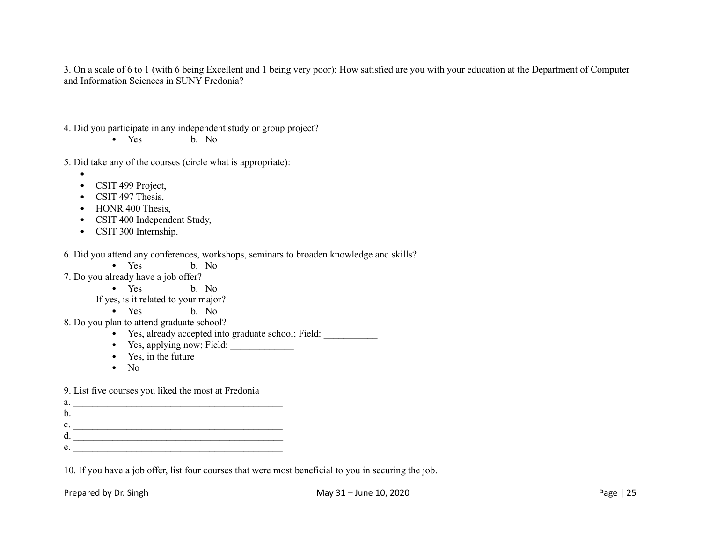3. On a scale of 6 to 1 (with 6 being Excellent and 1 being very poor): How satisfied are you with your education at the Department of Computer and Information Sciences in SUNY Fredonia?

- 4. Did you participate in any independent study or group project?
	- Yes b. No.
- 5. Did take any of the courses (circle what is appropriate):
	- $\bullet$
	- CSIT 499 Project,
	- CSIT 497 Thesis.
	- HONR 400 Thesis.
	- CSIT 400 Independent Study,
	- CSIT 300 Internship.

6. Did you attend any conferences, workshops, seminars to broaden knowledge and skills?

- Yes b. No
- 7. Do you already have a job offer?
	- Yes b. No

If yes, is it related to your major?

- Yes b. No
- 8. Do you plan to attend graduate school?
	- Yes, already accepted into graduate school; Field: \_\_\_\_\_\_\_\_\_\_\_
	- Yes, applying now; Field:
	- Yes, in the future
	- No

9. List five courses you liked the most at Fredonia

a. \_\_\_\_\_\_\_\_\_\_\_\_\_\_\_\_\_\_\_\_\_\_\_\_\_\_\_\_\_\_\_\_\_\_\_\_\_\_\_\_\_\_\_ b. \_\_\_\_\_\_\_\_\_\_\_\_\_\_\_\_\_\_\_\_\_\_\_\_\_\_\_\_\_\_\_\_\_\_\_\_\_\_\_\_\_\_\_  $c.$ d. \_\_\_\_\_\_\_\_\_\_\_\_\_\_\_\_\_\_\_\_\_\_\_\_\_\_\_\_\_\_\_\_\_\_\_\_\_\_\_\_\_\_\_  $e.$ 

10. If you have a job offer, list four courses that were most beneficial to you in securing the job.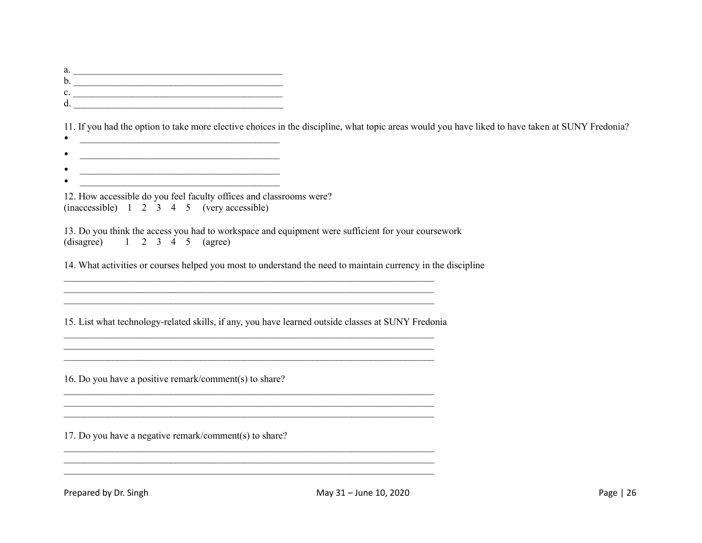a. \_\_\_\_\_\_\_\_\_\_\_\_\_\_\_\_\_\_\_\_\_\_\_\_\_\_\_\_\_\_\_\_\_\_\_\_\_\_\_\_\_\_\_ b. <u>\_\_\_\_\_\_\_\_\_\_\_\_\_\_\_\_\_\_\_\_\_\_\_\_\_\_\_\_\_\_</u> c. \_\_\_\_\_\_\_\_\_\_\_\_\_\_\_\_\_\_\_\_\_\_\_\_\_\_\_\_\_\_\_\_\_\_\_\_\_\_\_\_\_\_\_  $d.$ 

11. If you had the option to take more elective choices in the discipline, what topic areas would you have liked to have taken at SUNY Fredonia?

- $\bullet$   $\qquad \qquad$   $\qquad \qquad$   $\qquad$   $\qquad$   $\qquad$   $\qquad$   $\qquad$   $\qquad$   $\qquad$   $\qquad$   $\qquad$   $\qquad$   $\qquad$   $\qquad$   $\qquad$   $\qquad$   $\qquad$   $\qquad$   $\qquad$   $\qquad$   $\qquad$   $\qquad$   $\qquad$   $\qquad$   $\qquad$   $\qquad$   $\qquad$   $\qquad$   $\qquad$   $\qquad$   $\qquad$   $\qquad$   $\qquad$   $\qquad$   $\qquad$
- $\frac{1}{2}$  ,  $\frac{1}{2}$  ,  $\frac{1}{2}$  ,  $\frac{1}{2}$  ,  $\frac{1}{2}$  ,  $\frac{1}{2}$  ,  $\frac{1}{2}$  ,  $\frac{1}{2}$  ,  $\frac{1}{2}$  ,  $\frac{1}{2}$  ,  $\frac{1}{2}$  ,  $\frac{1}{2}$  ,  $\frac{1}{2}$  ,  $\frac{1}{2}$  ,  $\frac{1}{2}$  ,  $\frac{1}{2}$  ,  $\frac{1}{2}$  ,  $\frac{1}{2}$  ,  $\frac{1$
- \_\_\_\_\_\_\_\_\_\_\_\_\_\_\_\_\_\_\_\_\_\_\_\_\_\_\_\_\_\_\_\_\_\_\_\_\_\_\_\_\_  $\bullet$  . The contract of the contract of the contract of the contract of the contract of the contract of the contract of the contract of the contract of the contract of the contract of the contract of the contract of the co

|  |  |  | 12. How accessible do you feel faculty offices and classrooms were? |
|--|--|--|---------------------------------------------------------------------|
|  |  |  | $(inaccessible)$ 1 2 3 4 5 (very accessible)                        |

|                                          |  |  | 13. Do you think the access you had to workspace and equipment were sufficient for your coursework |
|------------------------------------------|--|--|----------------------------------------------------------------------------------------------------|
| (disagree) $1 \t2 \t3 \t4 \t5 \t(agree)$ |  |  |                                                                                                    |

\_\_\_\_\_\_\_\_\_\_\_\_\_\_\_\_\_\_\_\_\_\_\_\_\_\_\_\_\_\_\_\_\_\_\_\_\_\_\_\_\_\_\_\_\_\_\_\_\_\_\_\_\_\_\_\_\_\_\_\_\_\_\_\_\_\_\_\_\_\_\_\_\_\_\_\_ \_\_\_\_\_\_\_\_\_\_\_\_\_\_\_\_\_\_\_\_\_\_\_\_\_\_\_\_\_\_\_\_\_\_\_\_\_\_\_\_\_\_\_\_\_\_\_\_\_\_\_\_\_\_\_\_\_\_\_\_\_\_\_\_\_\_\_\_\_\_\_\_\_\_\_\_  $\mathcal{L}_\mathcal{L} = \{ \mathcal{L}_\mathcal{L} = \{ \mathcal{L}_\mathcal{L} = \{ \mathcal{L}_\mathcal{L} = \{ \mathcal{L}_\mathcal{L} = \{ \mathcal{L}_\mathcal{L} = \{ \mathcal{L}_\mathcal{L} = \{ \mathcal{L}_\mathcal{L} = \{ \mathcal{L}_\mathcal{L} = \{ \mathcal{L}_\mathcal{L} = \{ \mathcal{L}_\mathcal{L} = \{ \mathcal{L}_\mathcal{L} = \{ \mathcal{L}_\mathcal{L} = \{ \mathcal{L}_\mathcal{L} = \{ \mathcal{L}_\mathcal{$ 

14. What activities or courses helped you most to understand the need to maintain currency in the discipline

15. List what technology-related skills, if any, you have learned outside classes at SUNY Fredonia

 $\mathcal{L}_\text{max}$  $\mathcal{L}_\text{max} = \mathcal{L}_\text{max} = \mathcal{L}_\text{max} = \mathcal{L}_\text{max} = \mathcal{L}_\text{max} = \mathcal{L}_\text{max} = \mathcal{L}_\text{max} = \mathcal{L}_\text{max} = \mathcal{L}_\text{max} = \mathcal{L}_\text{max} = \mathcal{L}_\text{max} = \mathcal{L}_\text{max} = \mathcal{L}_\text{max} = \mathcal{L}_\text{max} = \mathcal{L}_\text{max} = \mathcal{L}_\text{max} = \mathcal{L}_\text{max} = \mathcal{L}_\text{max} = \mathcal{$  $\mathcal{L}_\mathcal{L} = \{ \mathcal{L}_\mathcal{L} = \{ \mathcal{L}_\mathcal{L} = \{ \mathcal{L}_\mathcal{L} = \{ \mathcal{L}_\mathcal{L} = \{ \mathcal{L}_\mathcal{L} = \{ \mathcal{L}_\mathcal{L} = \{ \mathcal{L}_\mathcal{L} = \{ \mathcal{L}_\mathcal{L} = \{ \mathcal{L}_\mathcal{L} = \{ \mathcal{L}_\mathcal{L} = \{ \mathcal{L}_\mathcal{L} = \{ \mathcal{L}_\mathcal{L} = \{ \mathcal{L}_\mathcal{L} = \{ \mathcal{L}_\mathcal{$ 

 $\mathcal{L}_\mathcal{L} = \{ \mathcal{L}_\mathcal{L} = \{ \mathcal{L}_\mathcal{L} = \{ \mathcal{L}_\mathcal{L} = \{ \mathcal{L}_\mathcal{L} = \{ \mathcal{L}_\mathcal{L} = \{ \mathcal{L}_\mathcal{L} = \{ \mathcal{L}_\mathcal{L} = \{ \mathcal{L}_\mathcal{L} = \{ \mathcal{L}_\mathcal{L} = \{ \mathcal{L}_\mathcal{L} = \{ \mathcal{L}_\mathcal{L} = \{ \mathcal{L}_\mathcal{L} = \{ \mathcal{L}_\mathcal{L} = \{ \mathcal{L}_\mathcal{$ 

 $\mathcal{L}_\mathcal{L} = \{ \mathcal{L}_\mathcal{L} = \{ \mathcal{L}_\mathcal{L} = \{ \mathcal{L}_\mathcal{L} = \{ \mathcal{L}_\mathcal{L} = \{ \mathcal{L}_\mathcal{L} = \{ \mathcal{L}_\mathcal{L} = \{ \mathcal{L}_\mathcal{L} = \{ \mathcal{L}_\mathcal{L} = \{ \mathcal{L}_\mathcal{L} = \{ \mathcal{L}_\mathcal{L} = \{ \mathcal{L}_\mathcal{L} = \{ \mathcal{L}_\mathcal{L} = \{ \mathcal{L}_\mathcal{L} = \{ \mathcal{L}_\mathcal{$  $\mathcal{L}_\mathcal{L} = \{ \mathcal{L}_\mathcal{L} = \{ \mathcal{L}_\mathcal{L} = \{ \mathcal{L}_\mathcal{L} = \{ \mathcal{L}_\mathcal{L} = \{ \mathcal{L}_\mathcal{L} = \{ \mathcal{L}_\mathcal{L} = \{ \mathcal{L}_\mathcal{L} = \{ \mathcal{L}_\mathcal{L} = \{ \mathcal{L}_\mathcal{L} = \{ \mathcal{L}_\mathcal{L} = \{ \mathcal{L}_\mathcal{L} = \{ \mathcal{L}_\mathcal{L} = \{ \mathcal{L}_\mathcal{L} = \{ \mathcal{L}_\mathcal{$  $\mathcal{L}_\mathcal{L} = \{ \mathcal{L}_\mathcal{L} = \{ \mathcal{L}_\mathcal{L} = \{ \mathcal{L}_\mathcal{L} = \{ \mathcal{L}_\mathcal{L} = \{ \mathcal{L}_\mathcal{L} = \{ \mathcal{L}_\mathcal{L} = \{ \mathcal{L}_\mathcal{L} = \{ \mathcal{L}_\mathcal{L} = \{ \mathcal{L}_\mathcal{L} = \{ \mathcal{L}_\mathcal{L} = \{ \mathcal{L}_\mathcal{L} = \{ \mathcal{L}_\mathcal{L} = \{ \mathcal{L}_\mathcal{L} = \{ \mathcal{L}_\mathcal{$ 

16. Do you have a positive remark/comment(s) to share?

17. Do you have a negative remark/comment(s) to share?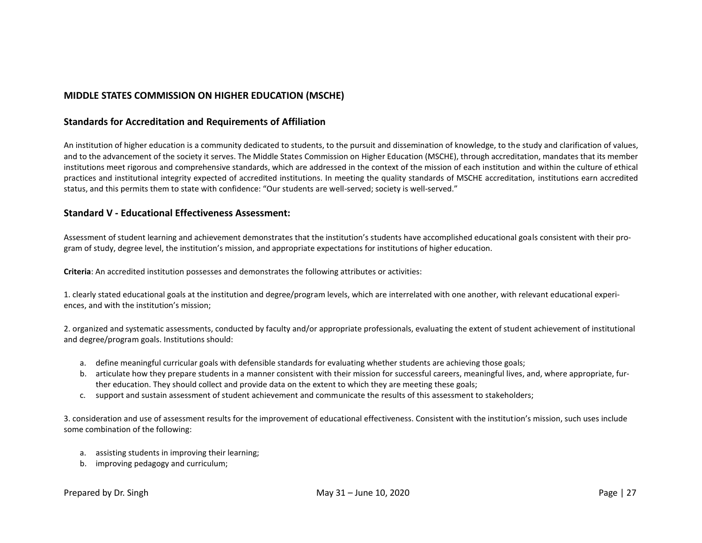### **MIDDLE STATES COMMISSION ON HIGHER EDUCATION (MSCHE)**

#### **Standards for Accreditation and Requirements of Affiliation**

An institution of higher education is a community dedicated to students, to the pursuit and dissemination of knowledge, to the study and clarification of values, and to the advancement of the society it serves. The Middle States Commission on Higher Education (MSCHE), through accreditation, mandates that its member institutions meet rigorous and comprehensive standards, which are addressed in the context of the mission of each institution and within the culture of ethical practices and institutional integrity expected of accredited institutions. In meeting the quality standards of MSCHE accreditation, institutions earn accredited status, and this permits them to state with confidence: "Our students are well-served; society is well-served."

#### **Standard V - Educational Effectiveness Assessment:**

Assessment of student learning and achievement demonstrates that the institution's students have accomplished educational goals consistent with their program of study, degree level, the institution's mission, and appropriate expectations for institutions of higher education.

**Criteria**: An accredited institution possesses and demonstrates the following attributes or activities:

1. clearly stated educational goals at the institution and degree/program levels, which are interrelated with one another, with relevant educational experiences, and with the institution's mission;

2. organized and systematic assessments, conducted by faculty and/or appropriate professionals, evaluating the extent of student achievement of institutional and degree/program goals. Institutions should:

- a. define meaningful curricular goals with defensible standards for evaluating whether students are achieving those goals;
- b. articulate how they prepare students in a manner consistent with their mission for successful careers, meaningful lives, and, where appropriate, further education. They should collect and provide data on the extent to which they are meeting these goals;
- c. support and sustain assessment of student achievement and communicate the results of this assessment to stakeholders;

3. consideration and use of assessment results for the improvement of educational effectiveness. Consistent with the institution's mission, such uses include some combination of the following:

- a. assisting students in improving their learning;
- b. improving pedagogy and curriculum;